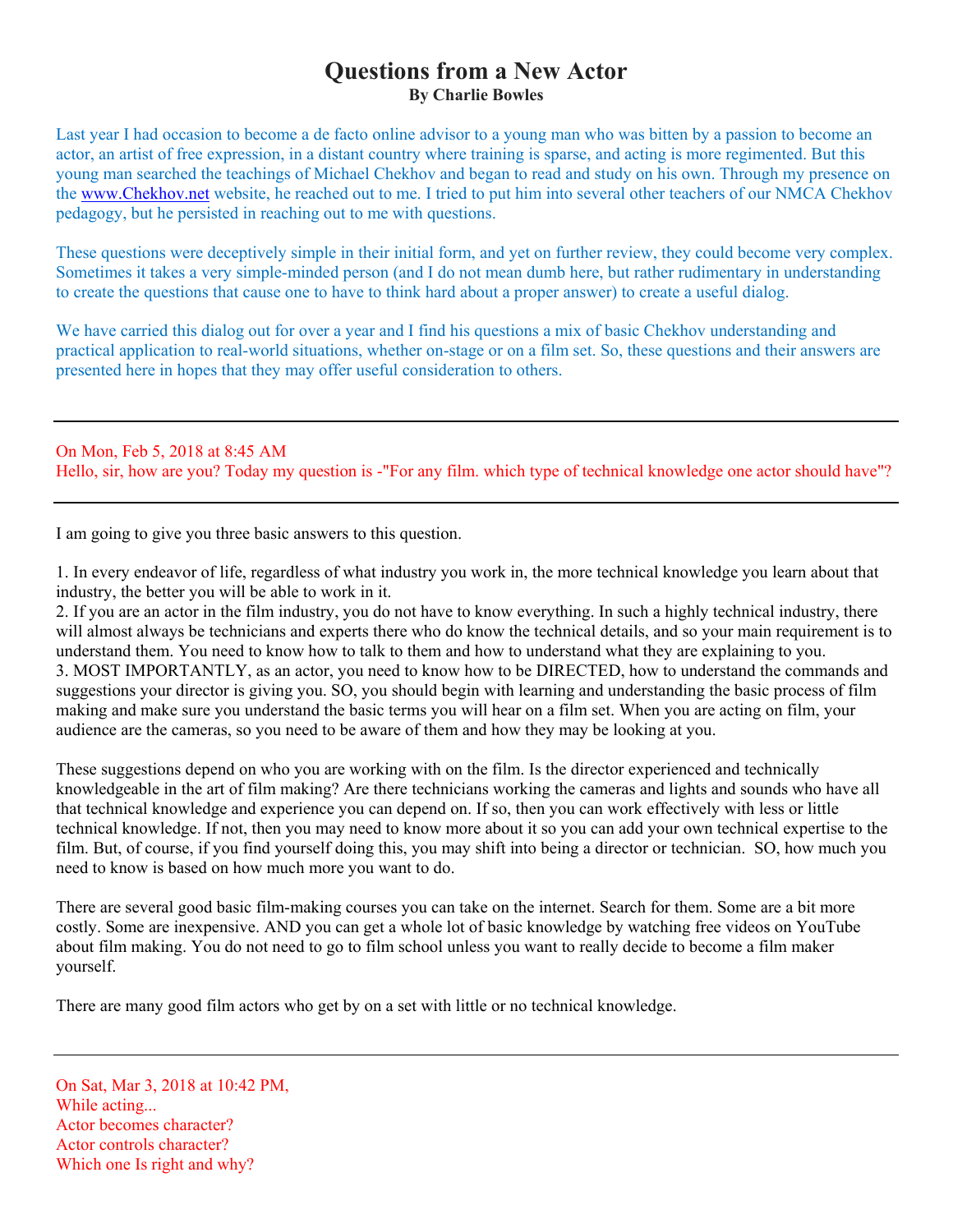# **Questions from a New Actor By Charlie Bowles**

Last year I had occasion to become a de facto online advisor to a young man who was bitten by a passion to become an actor, an artist of free expression, in a distant country where training is sparse, and acting is more regimented. But this young man searched the teachings of Michael Chekhov and began to read and study on his own. Through my presence on the [www.Chekhov.net](http://www.chekhov.net/) website, he reached out to me. I tried to put him into several other teachers of our NMCA Chekhov pedagogy, but he persisted in reaching out to me with questions.

These questions were deceptively simple in their initial form, and yet on further review, they could become very complex. Sometimes it takes a very simple-minded person (and I do not mean dumb here, but rather rudimentary in understanding to create the questions that cause one to have to think hard about a proper answer) to create a useful dialog.

We have carried this dialog out for over a year and I find his questions a mix of basic Chekhov understanding and practical application to real-world situations, whether on-stage or on a film set. So, these questions and their answers are presented here in hopes that they may offer useful consideration to others.

On Mon, Feb 5, 2018 at 8:45 AM Hello, sir, how are you? Today my question is -"For any film. which type of technical knowledge one actor should have"?

I am going to give you three basic answers to this question.

1. In every endeavor of life, regardless of what industry you work in, the more technical knowledge you learn about that industry, the better you will be able to work in it.

2. If you are an actor in the film industry, you do not have to know everything. In such a highly technical industry, there will almost always be technicians and experts there who do know the technical details, and so your main requirement is to understand them. You need to know how to talk to them and how to understand what they are explaining to you. 3. MOST IMPORTANTLY, as an actor, you need to know how to be DIRECTED, how to understand the commands and suggestions your director is giving you. SO, you should begin with learning and understanding the basic process of film making and make sure you understand the basic terms you will hear on a film set. When you are acting on film, your audience are the cameras, so you need to be aware of them and how they may be looking at you.

These suggestions depend on who you are working with on the film. Is the director experienced and technically knowledgeable in the art of film making? Are there technicians working the cameras and lights and sounds who have all that technical knowledge and experience you can depend on. If so, then you can work effectively with less or little technical knowledge. If not, then you may need to know more about it so you can add your own technical expertise to the film. But, of course, if you find yourself doing this, you may shift into being a director or technician. SO, how much you need to know is based on how much more you want to do.

There are several good basic film-making courses you can take on the internet. Search for them. Some are a bit more costly. Some are inexpensive. AND you can get a whole lot of basic knowledge by watching free videos on YouTube about film making. You do not need to go to film school unless you want to really decide to become a film maker yourself.

There are many good film actors who get by on a set with little or no technical knowledge.

On Sat, Mar 3, 2018 at 10:42 PM, While acting... Actor becomes character? Actor controls character? Which one Is right and why?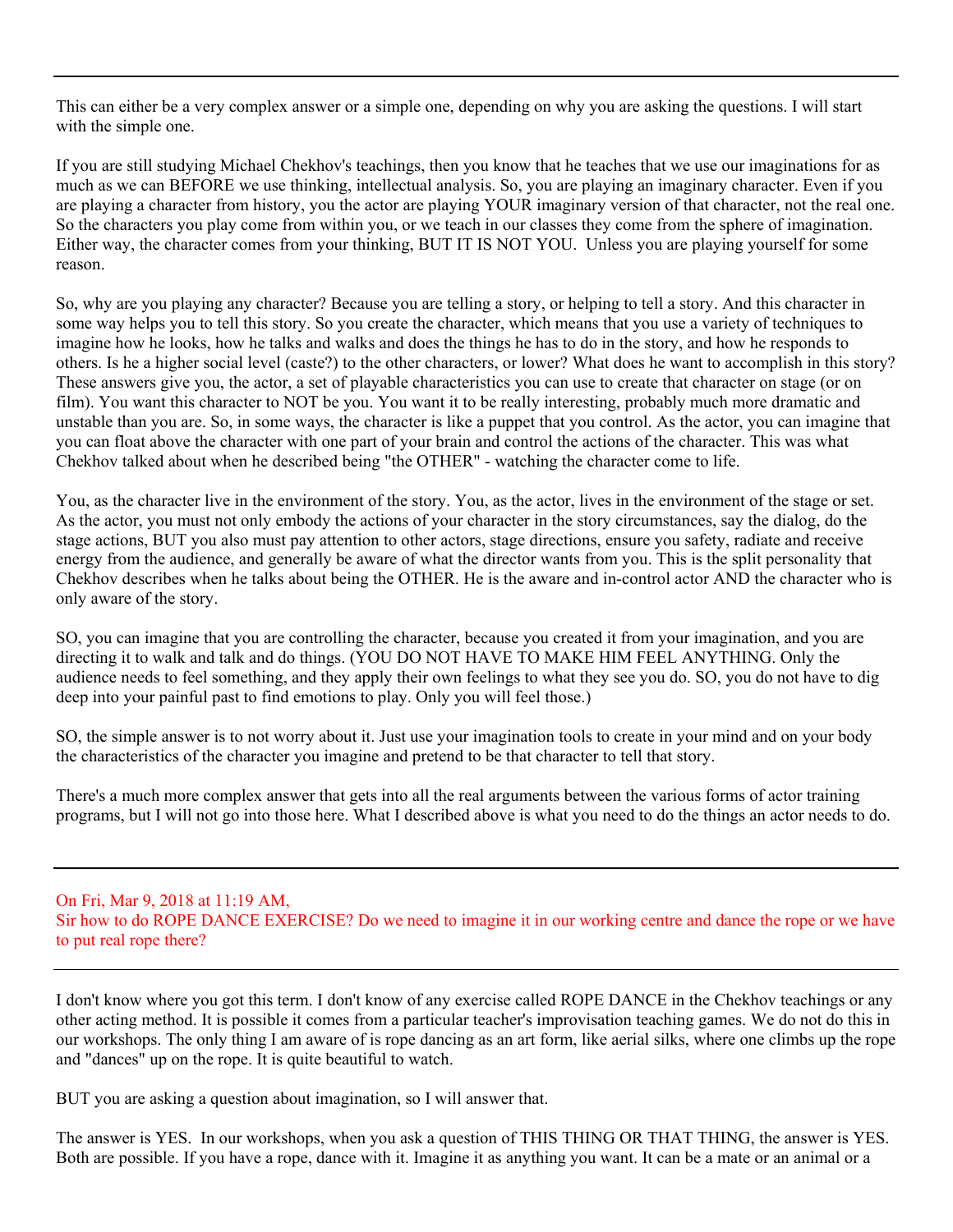This can either be a very complex answer or a simple one, depending on why you are asking the questions. I will start with the simple one.

If you are still studying Michael Chekhov's teachings, then you know that he teaches that we use our imaginations for as much as we can BEFORE we use thinking, intellectual analysis. So, you are playing an imaginary character. Even if you are playing a character from history, you the actor are playing YOUR imaginary version of that character, not the real one. So the characters you play come from within you, or we teach in our classes they come from the sphere of imagination. Either way, the character comes from your thinking, BUT IT IS NOT YOU. Unless you are playing yourself for some reason.

So, why are you playing any character? Because you are telling a story, or helping to tell a story. And this character in some way helps you to tell this story. So you create the character, which means that you use a variety of techniques to imagine how he looks, how he talks and walks and does the things he has to do in the story, and how he responds to others. Is he a higher social level (caste?) to the other characters, or lower? What does he want to accomplish in this story? These answers give you, the actor, a set of playable characteristics you can use to create that character on stage (or on film). You want this character to NOT be you. You want it to be really interesting, probably much more dramatic and unstable than you are. So, in some ways, the character is like a puppet that you control. As the actor, you can imagine that you can float above the character with one part of your brain and control the actions of the character. This was what Chekhov talked about when he described being "the OTHER" - watching the character come to life.

You, as the character live in the environment of the story. You, as the actor, lives in the environment of the stage or set. As the actor, you must not only embody the actions of your character in the story circumstances, say the dialog, do the stage actions, BUT you also must pay attention to other actors, stage directions, ensure you safety, radiate and receive energy from the audience, and generally be aware of what the director wants from you. This is the split personality that Chekhov describes when he talks about being the OTHER. He is the aware and in-control actor AND the character who is only aware of the story.

SO, you can imagine that you are controlling the character, because you created it from your imagination, and you are directing it to walk and talk and do things. (YOU DO NOT HAVE TO MAKE HIM FEEL ANYTHING. Only the audience needs to feel something, and they apply their own feelings to what they see you do. SO, you do not have to dig deep into your painful past to find emotions to play. Only you will feel those.)

SO, the simple answer is to not worry about it. Just use your imagination tools to create in your mind and on your body the characteristics of the character you imagine and pretend to be that character to tell that story.

There's a much more complex answer that gets into all the real arguments between the various forms of actor training programs, but I will not go into those here. What I described above is what you need to do the things an actor needs to do.

#### On Fri, Mar 9, 2018 at 11:19 AM, Sir how to do ROPE DANCE EXERCISE? Do we need to imagine it in our working centre and dance the rope or we have to put real rope there?

I don't know where you got this term. I don't know of any exercise called ROPE DANCE in the Chekhov teachings or any other acting method. It is possible it comes from a particular teacher's improvisation teaching games. We do not do this in our workshops. The only thing I am aware of is rope dancing as an art form, like aerial silks, where one climbs up the rope and "dances" up on the rope. It is quite beautiful to watch.

BUT you are asking a question about imagination, so I will answer that.

The answer is YES. In our workshops, when you ask a question of THIS THING OR THAT THING, the answer is YES. Both are possible. If you have a rope, dance with it. Imagine it as anything you want. It can be a mate or an animal or a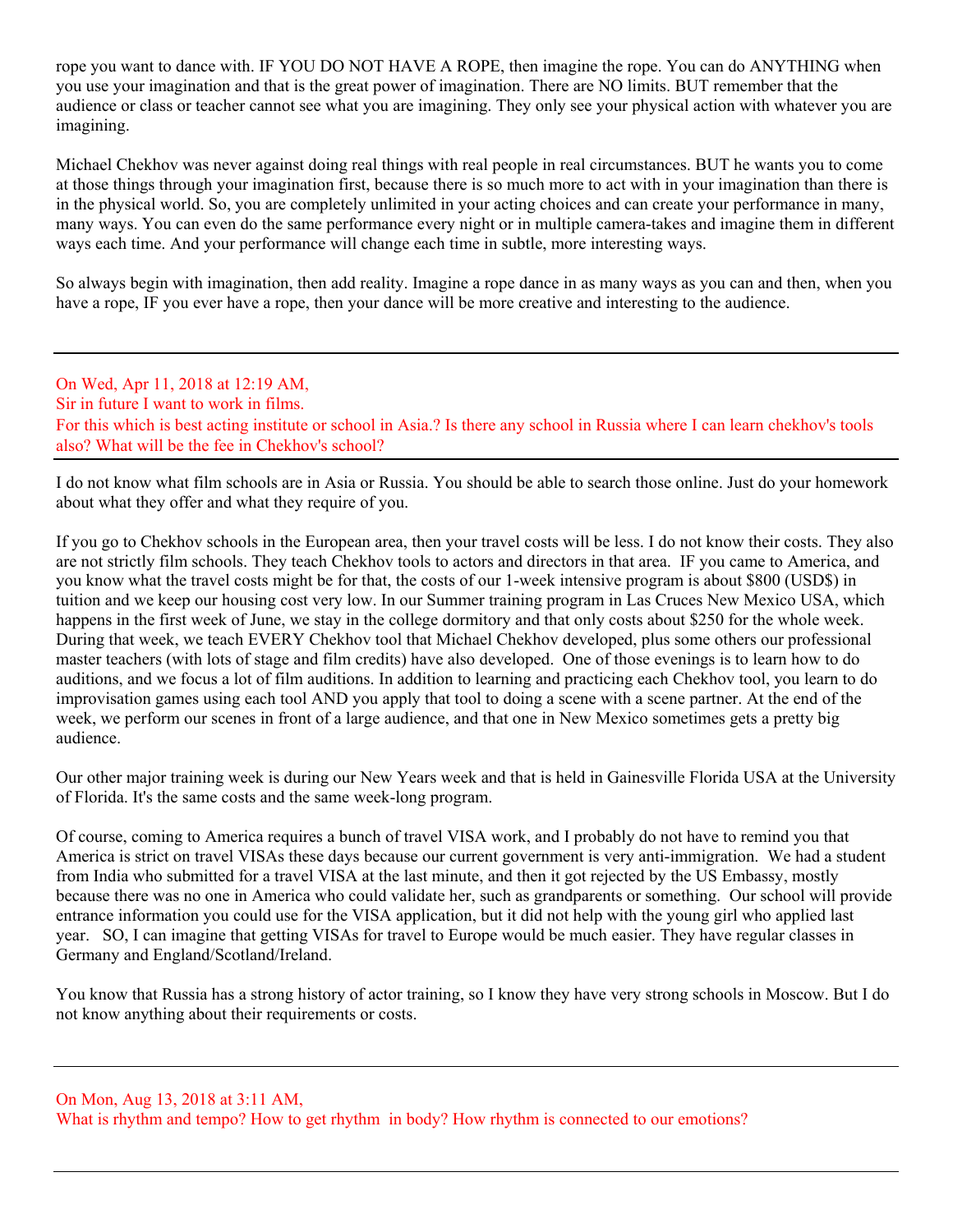rope you want to dance with. IF YOU DO NOT HAVE A ROPE, then imagine the rope. You can do ANYTHING when you use your imagination and that is the great power of imagination. There are NO limits. BUT remember that the audience or class or teacher cannot see what you are imagining. They only see your physical action with whatever you are imagining.

Michael Chekhov was never against doing real things with real people in real circumstances. BUT he wants you to come at those things through your imagination first, because there is so much more to act with in your imagination than there is in the physical world. So, you are completely unlimited in your acting choices and can create your performance in many, many ways. You can even do the same performance every night or in multiple camera-takes and imagine them in different ways each time. And your performance will change each time in subtle, more interesting ways.

So always begin with imagination, then add reality. Imagine a rope dance in as many ways as you can and then, when you have a rope, IF you ever have a rope, then your dance will be more creative and interesting to the audience.

On Wed, Apr 11, 2018 at 12:19 AM, Sir in future I want to work in films. For this which is best acting institute or school in Asia.? Is there any school in Russia where I can learn chekhov's tools also? What will be the fee in Chekhov's school?

I do not know what film schools are in Asia or Russia. You should be able to search those online. Just do your homework about what they offer and what they require of you.

If you go to Chekhov schools in the European area, then your travel costs will be less. I do not know their costs. They also are not strictly film schools. They teach Chekhov tools to actors and directors in that area. IF you came to America, and you know what the travel costs might be for that, the costs of our 1-week intensive program is about \$800 (USD\$) in tuition and we keep our housing cost very low. In our Summer training program in Las Cruces New Mexico USA, which happens in the first week of June, we stay in the college dormitory and that only costs about \$250 for the whole week. During that week, we teach EVERY Chekhov tool that Michael Chekhov developed, plus some others our professional master teachers (with lots of stage and film credits) have also developed. One of those evenings is to learn how to do auditions, and we focus a lot of film auditions. In addition to learning and practicing each Chekhov tool, you learn to do improvisation games using each tool AND you apply that tool to doing a scene with a scene partner. At the end of the week, we perform our scenes in front of a large audience, and that one in New Mexico sometimes gets a pretty big audience.

Our other major training week is during our New Years week and that is held in Gainesville Florida USA at the University of Florida. It's the same costs and the same week-long program.

Of course, coming to America requires a bunch of travel VISA work, and I probably do not have to remind you that America is strict on travel VISAs these days because our current government is very anti-immigration. We had a student from India who submitted for a travel VISA at the last minute, and then it got rejected by the US Embassy, mostly because there was no one in America who could validate her, such as grandparents or something. Our school will provide entrance information you could use for the VISA application, but it did not help with the young girl who applied last year. SO, I can imagine that getting VISAs for travel to Europe would be much easier. They have regular classes in Germany and England/Scotland/Ireland.

You know that Russia has a strong history of actor training, so I know they have very strong schools in Moscow. But I do not know anything about their requirements or costs.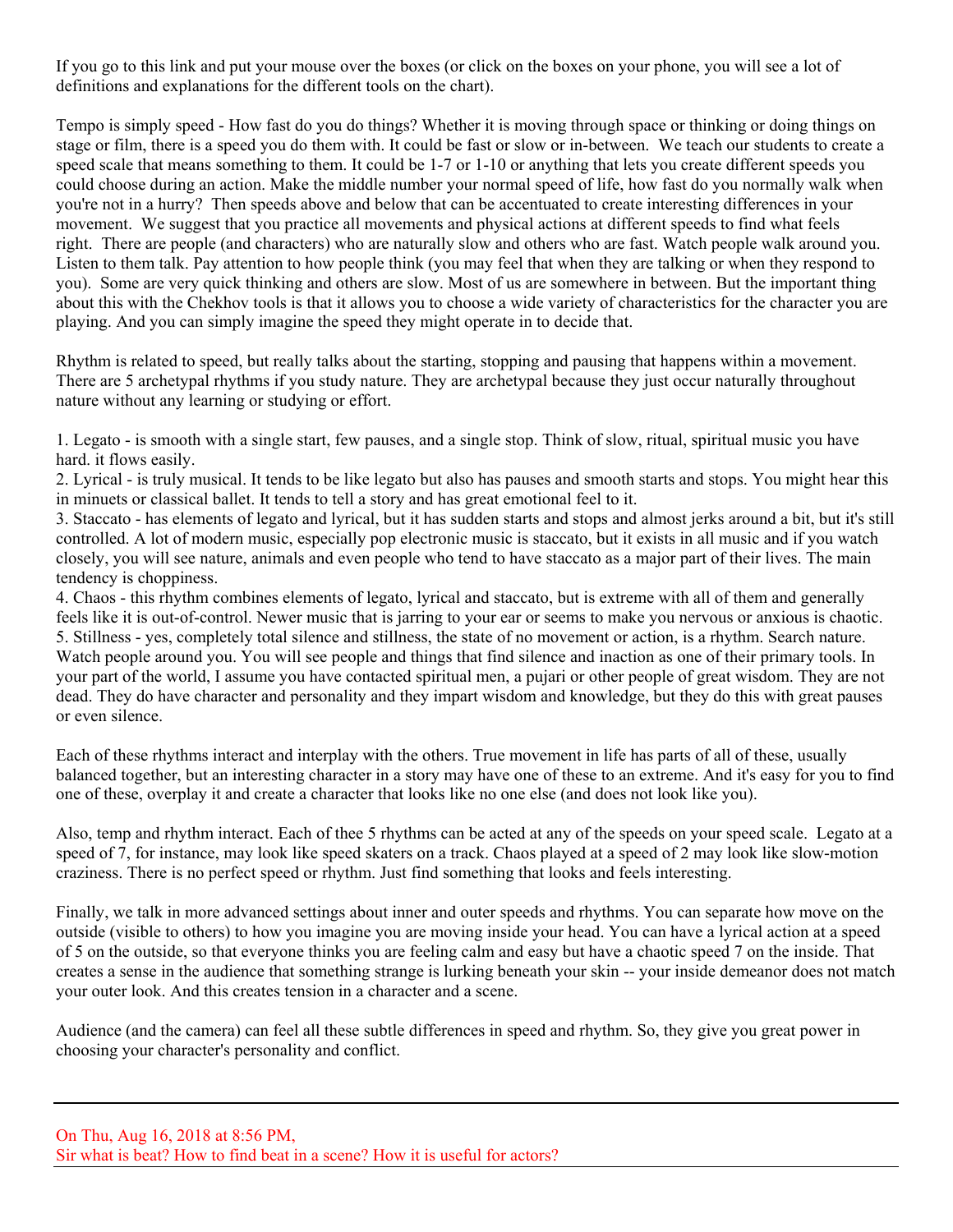If you go to this link and put your mouse over the boxes (or click on the boxes on your phone, you will see a lot of definitions and explanations for the different tools on the chart).

Tempo is simply speed - How fast do you do things? Whether it is moving through space or thinking or doing things on stage or film, there is a speed you do them with. It could be fast or slow or in-between. We teach our students to create a speed scale that means something to them. It could be 1-7 or 1-10 or anything that lets you create different speeds you could choose during an action. Make the middle number your normal speed of life, how fast do you normally walk when you're not in a hurry? Then speeds above and below that can be accentuated to create interesting differences in your movement. We suggest that you practice all movements and physical actions at different speeds to find what feels right. There are people (and characters) who are naturally slow and others who are fast. Watch people walk around you. Listen to them talk. Pay attention to how people think (you may feel that when they are talking or when they respond to you). Some are very quick thinking and others are slow. Most of us are somewhere in between. But the important thing about this with the Chekhov tools is that it allows you to choose a wide variety of characteristics for the character you are playing. And you can simply imagine the speed they might operate in to decide that.

Rhythm is related to speed, but really talks about the starting, stopping and pausing that happens within a movement. There are 5 archetypal rhythms if you study nature. They are archetypal because they just occur naturally throughout nature without any learning or studying or effort.

1. Legato - is smooth with a single start, few pauses, and a single stop. Think of slow, ritual, spiritual music you have hard. it flows easily.

2. Lyrical - is truly musical. It tends to be like legato but also has pauses and smooth starts and stops. You might hear this in minuets or classical ballet. It tends to tell a story and has great emotional feel to it.

3. Staccato - has elements of legato and lyrical, but it has sudden starts and stops and almost jerks around a bit, but it's still controlled. A lot of modern music, especially pop electronic music is staccato, but it exists in all music and if you watch closely, you will see nature, animals and even people who tend to have staccato as a major part of their lives. The main tendency is choppiness.

4. Chaos - this rhythm combines elements of legato, lyrical and staccato, but is extreme with all of them and generally feels like it is out-of-control. Newer music that is jarring to your ear or seems to make you nervous or anxious is chaotic. 5. Stillness - yes, completely total silence and stillness, the state of no movement or action, is a rhythm. Search nature. Watch people around you. You will see people and things that find silence and inaction as one of their primary tools. In your part of the world, I assume you have contacted spiritual men, a pujari or other people of great wisdom. They are not dead. They do have character and personality and they impart wisdom and knowledge, but they do this with great pauses or even silence.

Each of these rhythms interact and interplay with the others. True movement in life has parts of all of these, usually balanced together, but an interesting character in a story may have one of these to an extreme. And it's easy for you to find one of these, overplay it and create a character that looks like no one else (and does not look like you).

Also, temp and rhythm interact. Each of thee 5 rhythms can be acted at any of the speeds on your speed scale. Legato at a speed of 7, for instance, may look like speed skaters on a track. Chaos played at a speed of 2 may look like slow-motion craziness. There is no perfect speed or rhythm. Just find something that looks and feels interesting.

Finally, we talk in more advanced settings about inner and outer speeds and rhythms. You can separate how move on the outside (visible to others) to how you imagine you are moving inside your head. You can have a lyrical action at a speed of 5 on the outside, so that everyone thinks you are feeling calm and easy but have a chaotic speed 7 on the inside. That creates a sense in the audience that something strange is lurking beneath your skin -- your inside demeanor does not match your outer look. And this creates tension in a character and a scene.

Audience (and the camera) can feel all these subtle differences in speed and rhythm. So, they give you great power in choosing your character's personality and conflict.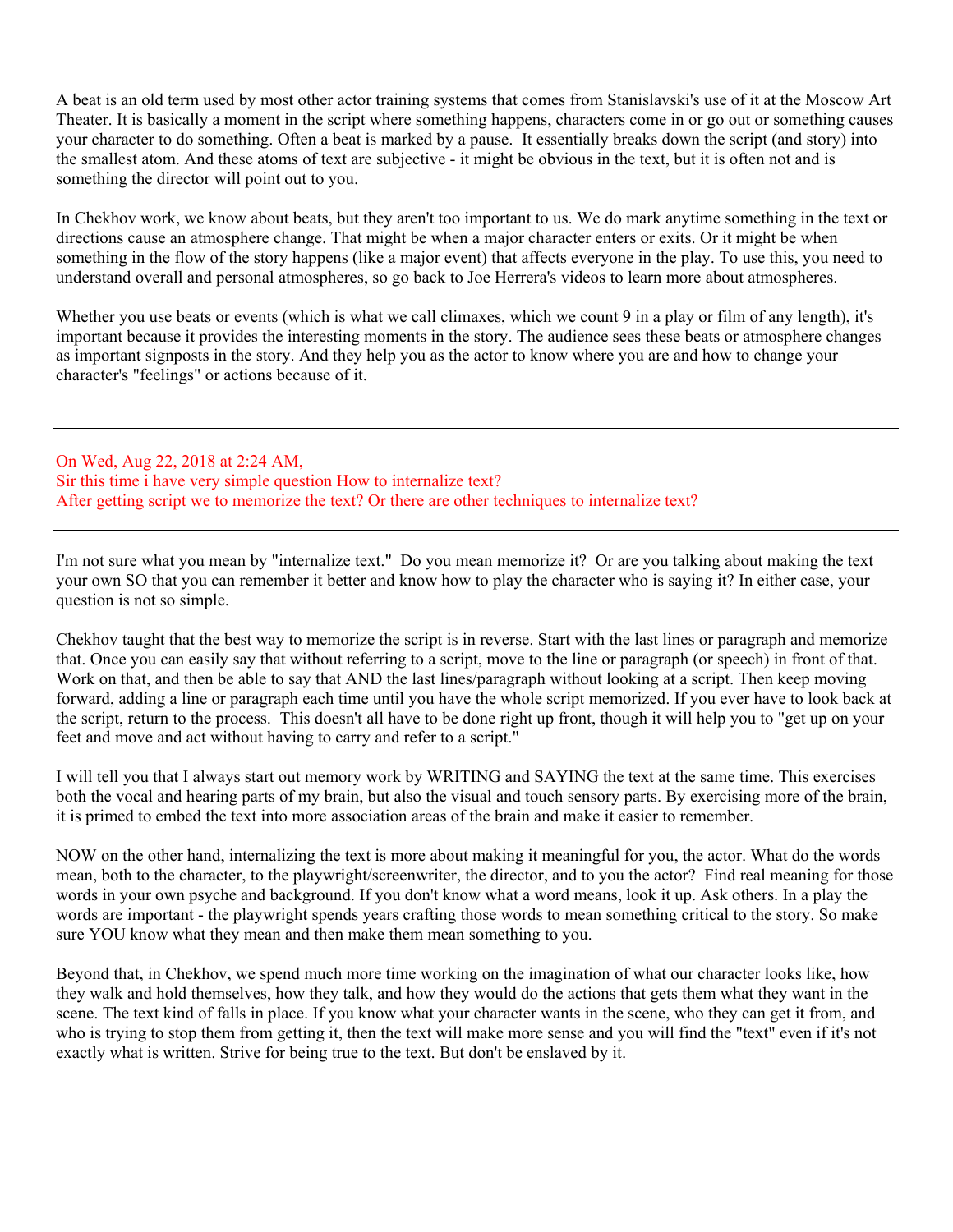A beat is an old term used by most other actor training systems that comes from Stanislavski's use of it at the Moscow Art Theater. It is basically a moment in the script where something happens, characters come in or go out or something causes your character to do something. Often a beat is marked by a pause. It essentially breaks down the script (and story) into the smallest atom. And these atoms of text are subjective - it might be obvious in the text, but it is often not and is something the director will point out to you.

In Chekhov work, we know about beats, but they aren't too important to us. We do mark anytime something in the text or directions cause an atmosphere change. That might be when a major character enters or exits. Or it might be when something in the flow of the story happens (like a major event) that affects everyone in the play. To use this, you need to understand overall and personal atmospheres, so go back to Joe Herrera's videos to learn more about atmospheres.

Whether you use beats or events (which is what we call climaxes, which we count 9 in a play or film of any length), it's important because it provides the interesting moments in the story. The audience sees these beats or atmosphere changes as important signposts in the story. And they help you as the actor to know where you are and how to change your character's "feelings" or actions because of it.

On Wed, Aug 22, 2018 at 2:24 AM, Sir this time i have very simple question How to internalize text? After getting script we to memorize the text? Or there are other techniques to internalize text?

I'm not sure what you mean by "internalize text." Do you mean memorize it? Or are you talking about making the text your own SO that you can remember it better and know how to play the character who is saying it? In either case, your question is not so simple.

Chekhov taught that the best way to memorize the script is in reverse. Start with the last lines or paragraph and memorize that. Once you can easily say that without referring to a script, move to the line or paragraph (or speech) in front of that. Work on that, and then be able to say that AND the last lines/paragraph without looking at a script. Then keep moving forward, adding a line or paragraph each time until you have the whole script memorized. If you ever have to look back at the script, return to the process. This doesn't all have to be done right up front, though it will help you to "get up on your feet and move and act without having to carry and refer to a script."

I will tell you that I always start out memory work by WRITING and SAYING the text at the same time. This exercises both the vocal and hearing parts of my brain, but also the visual and touch sensory parts. By exercising more of the brain, it is primed to embed the text into more association areas of the brain and make it easier to remember.

NOW on the other hand, internalizing the text is more about making it meaningful for you, the actor. What do the words mean, both to the character, to the playwright/screenwriter, the director, and to you the actor? Find real meaning for those words in your own psyche and background. If you don't know what a word means, look it up. Ask others. In a play the words are important - the playwright spends years crafting those words to mean something critical to the story. So make sure YOU know what they mean and then make them mean something to you.

Beyond that, in Chekhov, we spend much more time working on the imagination of what our character looks like, how they walk and hold themselves, how they talk, and how they would do the actions that gets them what they want in the scene. The text kind of falls in place. If you know what your character wants in the scene, who they can get it from, and who is trying to stop them from getting it, then the text will make more sense and you will find the "text" even if it's not exactly what is written. Strive for being true to the text. But don't be enslaved by it.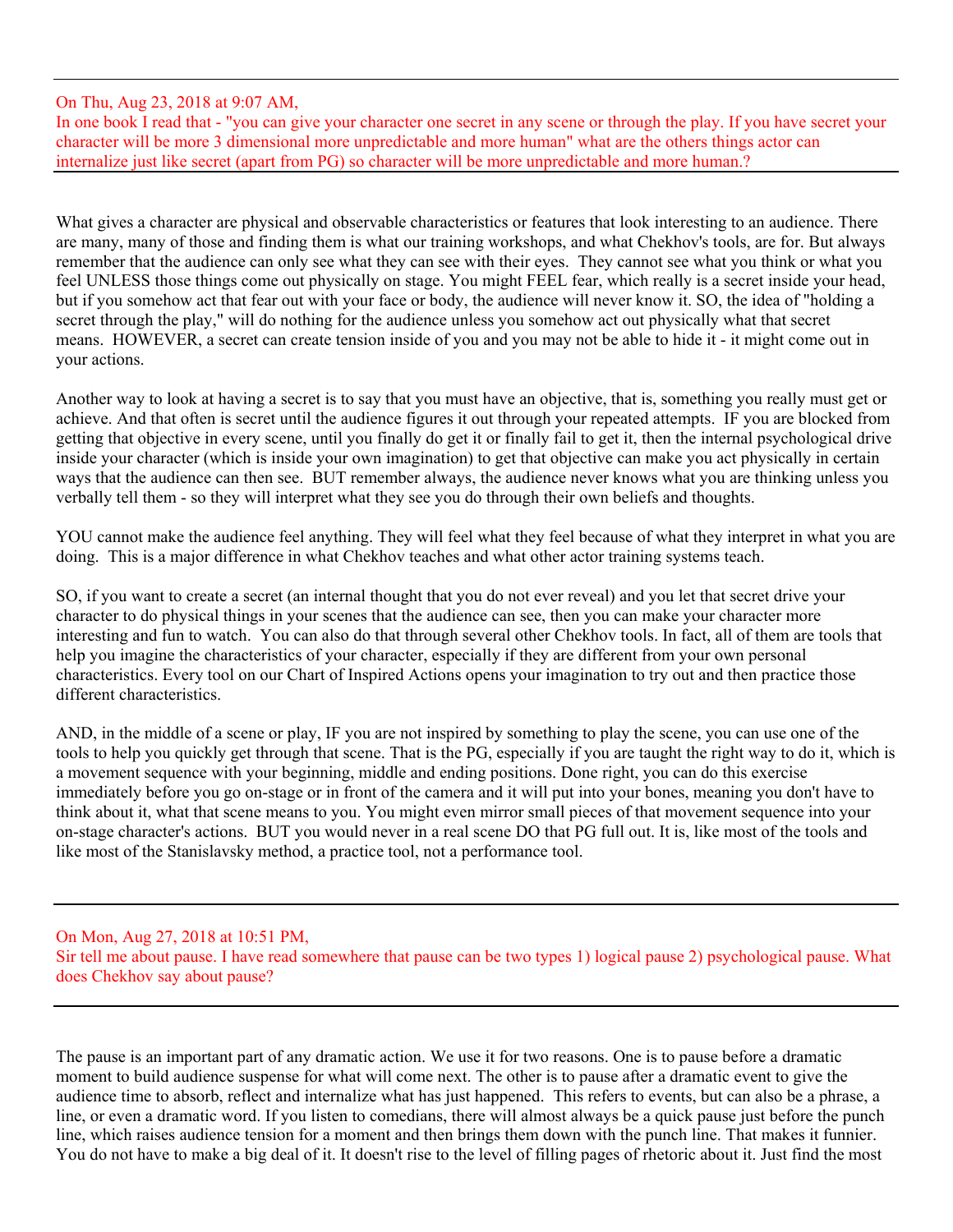# On Thu, Aug 23, 2018 at 9:07 AM,

In one book I read that - "you can give your character one secret in any scene or through the play. If you have secret your character will be more 3 dimensional more unpredictable and more human" what are the others things actor can internalize just like secret (apart from PG) so character will be more unpredictable and more human.?

What gives a character are physical and observable characteristics or features that look interesting to an audience. There are many, many of those and finding them is what our training workshops, and what Chekhov's tools, are for. But always remember that the audience can only see what they can see with their eyes. They cannot see what you think or what you feel UNLESS those things come out physically on stage. You might FEEL fear, which really is a secret inside your head, but if you somehow act that fear out with your face or body, the audience will never know it. SO, the idea of "holding a secret through the play," will do nothing for the audience unless you somehow act out physically what that secret means. HOWEVER, a secret can create tension inside of you and you may not be able to hide it - it might come out in your actions.

Another way to look at having a secret is to say that you must have an objective, that is, something you really must get or achieve. And that often is secret until the audience figures it out through your repeated attempts. IF you are blocked from getting that objective in every scene, until you finally do get it or finally fail to get it, then the internal psychological drive inside your character (which is inside your own imagination) to get that objective can make you act physically in certain ways that the audience can then see. BUT remember always, the audience never knows what you are thinking unless you verbally tell them - so they will interpret what they see you do through their own beliefs and thoughts.

YOU cannot make the audience feel anything. They will feel what they feel because of what they interpret in what you are doing. This is a major difference in what Chekhov teaches and what other actor training systems teach.

SO, if you want to create a secret (an internal thought that you do not ever reveal) and you let that secret drive your character to do physical things in your scenes that the audience can see, then you can make your character more interesting and fun to watch. You can also do that through several other Chekhov tools. In fact, all of them are tools that help you imagine the characteristics of your character, especially if they are different from your own personal characteristics. Every tool on our Chart of Inspired Actions opens your imagination to try out and then practice those different characteristics.

AND, in the middle of a scene or play, IF you are not inspired by something to play the scene, you can use one of the tools to help you quickly get through that scene. That is the PG, especially if you are taught the right way to do it, which is a movement sequence with your beginning, middle and ending positions. Done right, you can do this exercise immediately before you go on-stage or in front of the camera and it will put into your bones, meaning you don't have to think about it, what that scene means to you. You might even mirror small pieces of that movement sequence into your on-stage character's actions. BUT you would never in a real scene DO that PG full out. It is, like most of the tools and like most of the Stanislavsky method, a practice tool, not a performance tool.

On Mon, Aug 27, 2018 at 10:51 PM, Sir tell me about pause. I have read somewhere that pause can be two types 1) logical pause 2) psychological pause. What does Chekhov say about pause?

The pause is an important part of any dramatic action. We use it for two reasons. One is to pause before a dramatic moment to build audience suspense for what will come next. The other is to pause after a dramatic event to give the audience time to absorb, reflect and internalize what has just happened. This refers to events, but can also be a phrase, a line, or even a dramatic word. If you listen to comedians, there will almost always be a quick pause just before the punch line, which raises audience tension for a moment and then brings them down with the punch line. That makes it funnier. You do not have to make a big deal of it. It doesn't rise to the level of filling pages of rhetoric about it. Just find the most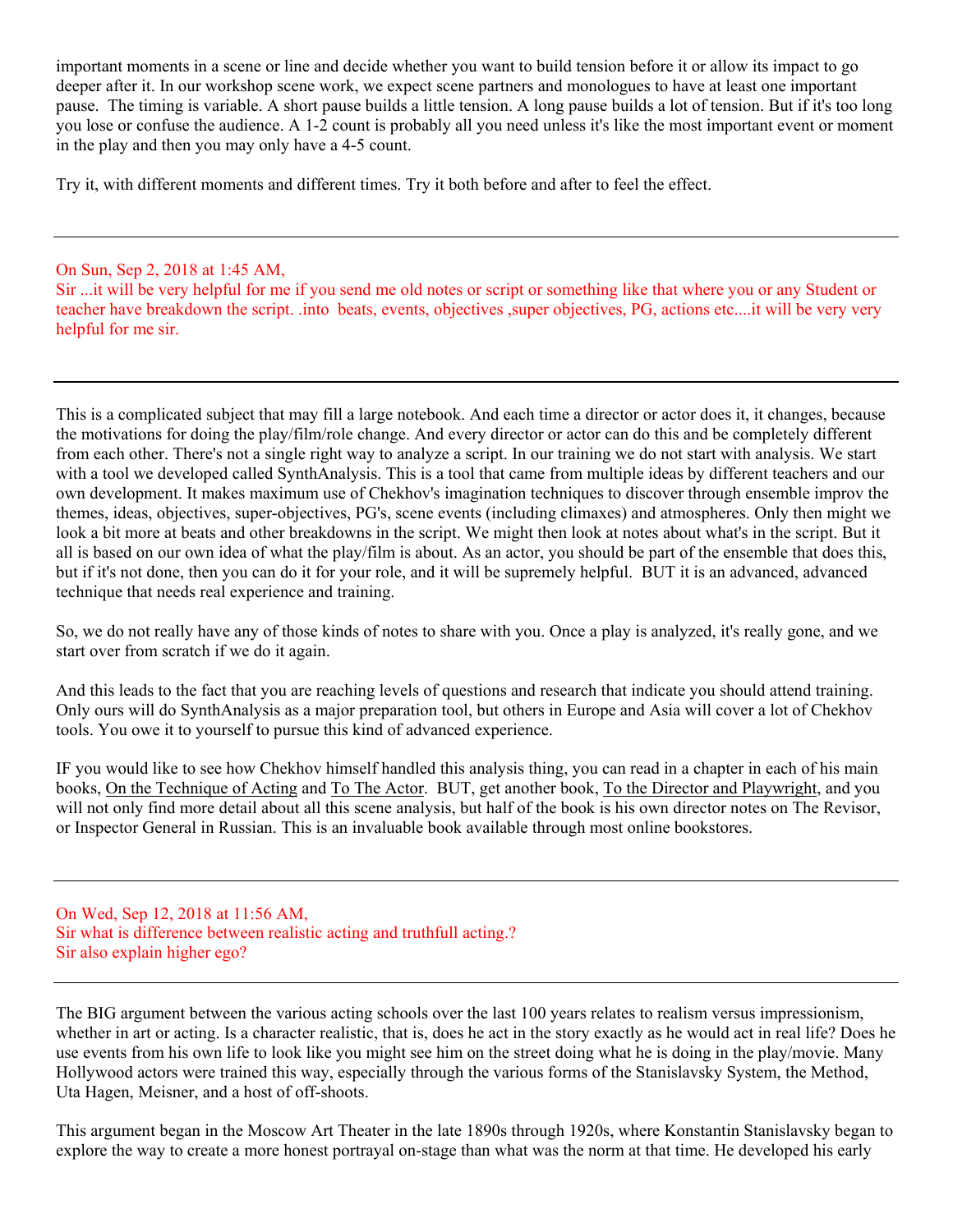important moments in a scene or line and decide whether you want to build tension before it or allow its impact to go deeper after it. In our workshop scene work, we expect scene partners and monologues to have at least one important pause. The timing is variable. A short pause builds a little tension. A long pause builds a lot of tension. But if it's too long you lose or confuse the audience. A 1-2 count is probably all you need unless it's like the most important event or moment in the play and then you may only have a 4-5 count.

Try it, with different moments and different times. Try it both before and after to feel the effect.

On Sun, Sep 2, 2018 at 1:45 AM,

Sir ...it will be very helpful for me if you send me old notes or script or something like that where you or any Student or teacher have breakdown the script. .into beats, events, objectives , super objectives, PG, actions etc....it will be very very helpful for me sir.

This is a complicated subject that may fill a large notebook. And each time a director or actor does it, it changes, because the motivations for doing the play/film/role change. And every director or actor can do this and be completely different from each other. There's not a single right way to analyze a script. In our training we do not start with analysis. We start with a tool we developed called SynthAnalysis. This is a tool that came from multiple ideas by different teachers and our own development. It makes maximum use of Chekhov's imagination techniques to discover through ensemble improv the themes, ideas, objectives, super-objectives, PG's, scene events (including climaxes) and atmospheres. Only then might we look a bit more at beats and other breakdowns in the script. We might then look at notes about what's in the script. But it all is based on our own idea of what the play/film is about. As an actor, you should be part of the ensemble that does this, but if it's not done, then you can do it for your role, and it will be supremely helpful. BUT it is an advanced, advanced technique that needs real experience and training.

So, we do not really have any of those kinds of notes to share with you. Once a play is analyzed, it's really gone, and we start over from scratch if we do it again.

And this leads to the fact that you are reaching levels of questions and research that indicate you should attend training. Only ours will do SynthAnalysis as a major preparation tool, but others in Europe and Asia will cover a lot of Chekhov tools. You owe it to yourself to pursue this kind of advanced experience.

IF you would like to see how Chekhov himself handled this analysis thing, you can read in a chapter in each of his main books, On the Technique of Acting and To The Actor. BUT, get another book, To the Director and Playwright, and you will not only find more detail about all this scene analysis, but half of the book is his own director notes on The Revisor, or Inspector General in Russian. This is an invaluable book available through most online bookstores.

On Wed, Sep 12, 2018 at 11:56 AM, Sir what is difference between realistic acting and truthfull acting.? Sir also explain higher ego?

The BIG argument between the various acting schools over the last 100 years relates to realism versus impressionism, whether in art or acting. Is a character realistic, that is, does he act in the story exactly as he would act in real life? Does he use events from his own life to look like you might see him on the street doing what he is doing in the play/movie. Many Hollywood actors were trained this way, especially through the various forms of the Stanislavsky System, the Method, Uta Hagen, Meisner, and a host of off-shoots.

This argument began in the Moscow Art Theater in the late 1890s through 1920s, where Konstantin Stanislavsky began to explore the way to create a more honest portrayal on-stage than what was the norm at that time. He developed his early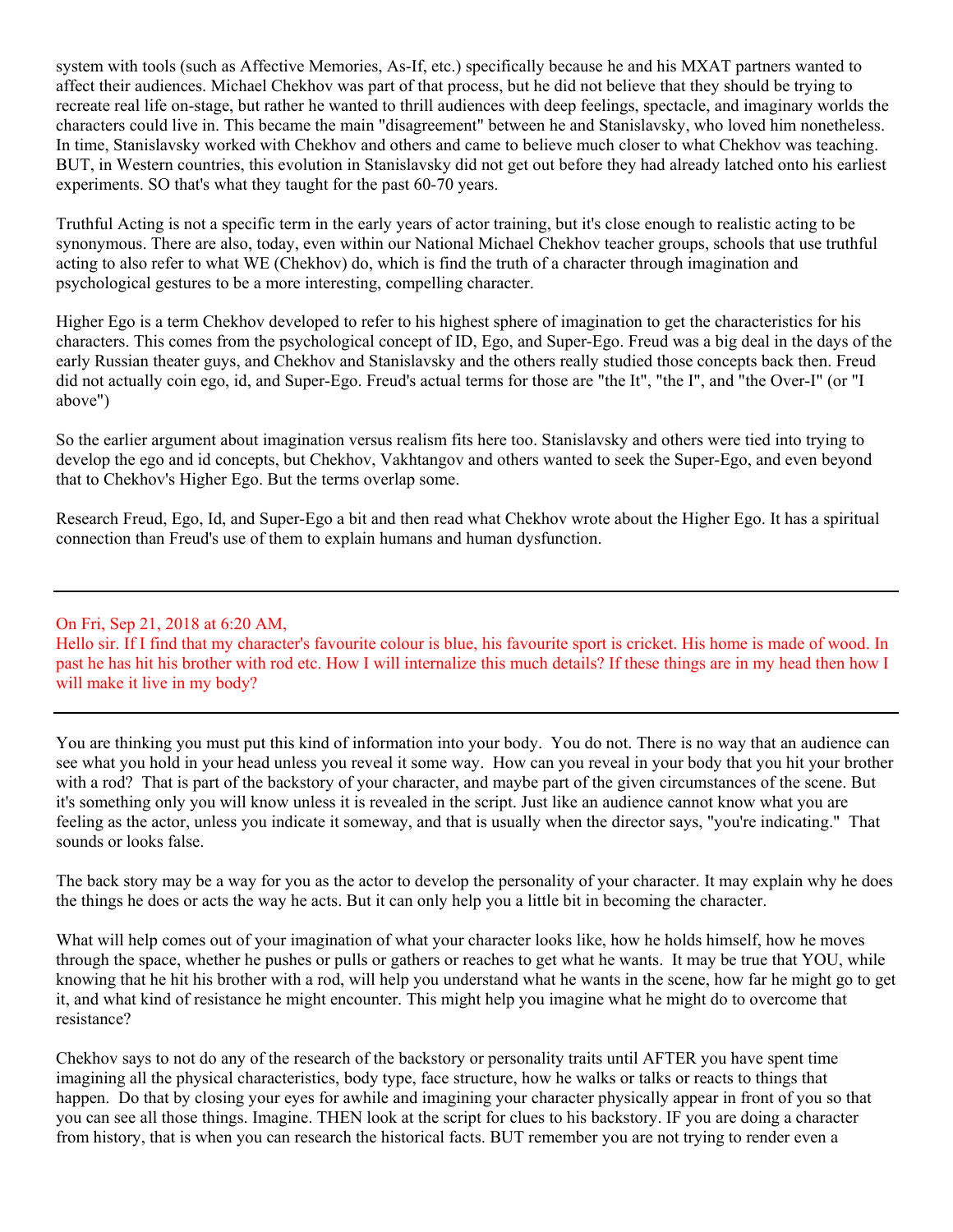system with tools (such as Affective Memories, As-If, etc.) specifically because he and his MXAT partners wanted to affect their audiences. Michael Chekhov was part of that process, but he did not believe that they should be trying to recreate real life on-stage, but rather he wanted to thrill audiences with deep feelings, spectacle, and imaginary worlds the characters could live in. This became the main "disagreement" between he and Stanislavsky, who loved him nonetheless. In time, Stanislavsky worked with Chekhov and others and came to believe much closer to what Chekhov was teaching. BUT, in Western countries, this evolution in Stanislavsky did not get out before they had already latched onto his earliest experiments. SO that's what they taught for the past 60-70 years.

Truthful Acting is not a specific term in the early years of actor training, but it's close enough to realistic acting to be synonymous. There are also, today, even within our National Michael Chekhov teacher groups, schools that use truthful acting to also refer to what WE (Chekhov) do, which is find the truth of a character through imagination and psychological gestures to be a more interesting, compelling character.

Higher Ego is a term Chekhov developed to refer to his highest sphere of imagination to get the characteristics for his characters. This comes from the psychological concept of ID, Ego, and Super-Ego. Freud was a big deal in the days of the early Russian theater guys, and Chekhov and Stanislavsky and the others really studied those concepts back then. Freud did not actually coin ego, id, and Super-Ego. Freud's actual terms for those are "the It", "the I", and "the Over-I" (or "I above")

So the earlier argument about imagination versus realism fits here too. Stanislavsky and others were tied into trying to develop the ego and id concepts, but Chekhov, Vakhtangov and others wanted to seek the Super-Ego, and even beyond that to Chekhov's Higher Ego. But the terms overlap some.

Research Freud, Ego, Id, and Super-Ego a bit and then read what Chekhov wrote about the Higher Ego. It has a spiritual connection than Freud's use of them to explain humans and human dysfunction.

#### On Fri, Sep 21, 2018 at 6:20 AM,

Hello sir. If I find that my character's favourite colour is blue, his favourite sport is cricket. His home is made of wood. In past he has hit his brother with rod etc. How I will internalize this much details? If these things are in my head then how I will make it live in my body?

You are thinking you must put this kind of information into your body. You do not. There is no way that an audience can see what you hold in your head unless you reveal it some way. How can you reveal in your body that you hit your brother with a rod? That is part of the backstory of your character, and maybe part of the given circumstances of the scene. But it's something only you will know unless it is revealed in the script. Just like an audience cannot know what you are feeling as the actor, unless you indicate it someway, and that is usually when the director says, "you're indicating." That sounds or looks false.

The back story may be a way for you as the actor to develop the personality of your character. It may explain why he does the things he does or acts the way he acts. But it can only help you a little bit in becoming the character.

What will help comes out of your imagination of what your character looks like, how he holds himself, how he moves through the space, whether he pushes or pulls or gathers or reaches to get what he wants. It may be true that YOU, while knowing that he hit his brother with a rod, will help you understand what he wants in the scene, how far he might go to get it, and what kind of resistance he might encounter. This might help you imagine what he might do to overcome that resistance?

Chekhov says to not do any of the research of the backstory or personality traits until AFTER you have spent time imagining all the physical characteristics, body type, face structure, how he walks or talks or reacts to things that happen. Do that by closing your eyes for awhile and imagining your character physically appear in front of you so that you can see all those things. Imagine. THEN look at the script for clues to his backstory. IF you are doing a character from history, that is when you can research the historical facts. BUT remember you are not trying to render even a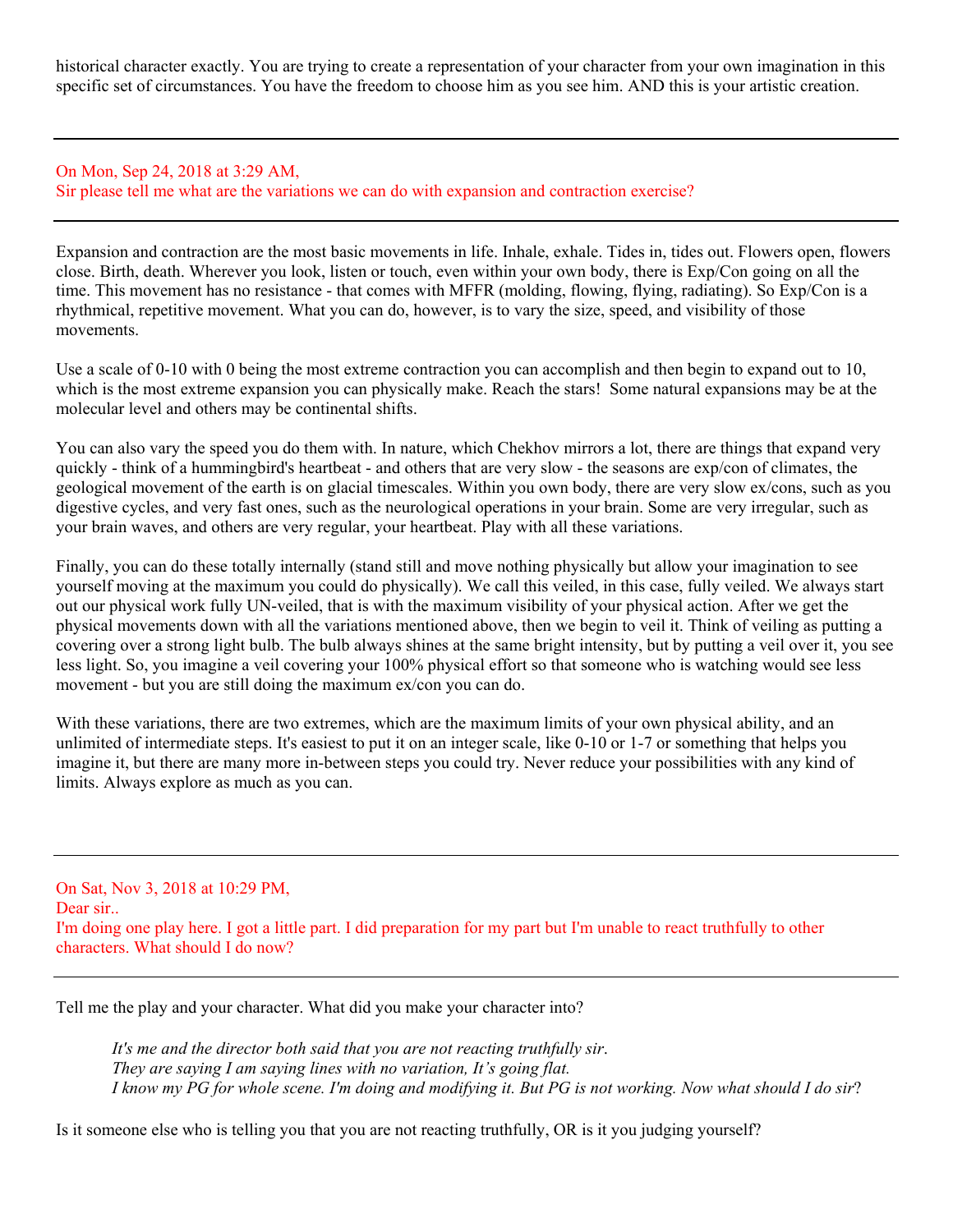historical character exactly. You are trying to create a representation of your character from your own imagination in this specific set of circumstances. You have the freedom to choose him as you see him. AND this is your artistic creation.

### On Mon, Sep 24, 2018 at 3:29 AM, Sir please tell me what are the variations we can do with expansion and contraction exercise?

Expansion and contraction are the most basic movements in life. Inhale, exhale. Tides in, tides out. Flowers open, flowers close. Birth, death. Wherever you look, listen or touch, even within your own body, there is Exp/Con going on all the time. This movement has no resistance - that comes with MFFR (molding, flowing, flying, radiating). So Exp/Con is a rhythmical, repetitive movement. What you can do, however, is to vary the size, speed, and visibility of those movements.

Use a scale of 0-10 with 0 being the most extreme contraction you can accomplish and then begin to expand out to 10, which is the most extreme expansion you can physically make. Reach the stars! Some natural expansions may be at the molecular level and others may be continental shifts.

You can also vary the speed you do them with. In nature, which Chekhov mirrors a lot, there are things that expand very quickly - think of a hummingbird's heartbeat - and others that are very slow - the seasons are exp/con of climates, the geological movement of the earth is on glacial timescales. Within you own body, there are very slow ex/cons, such as you digestive cycles, and very fast ones, such as the neurological operations in your brain. Some are very irregular, such as your brain waves, and others are very regular, your heartbeat. Play with all these variations.

Finally, you can do these totally internally (stand still and move nothing physically but allow your imagination to see yourself moving at the maximum you could do physically). We call this veiled, in this case, fully veiled. We always start out our physical work fully UN-veiled, that is with the maximum visibility of your physical action. After we get the physical movements down with all the variations mentioned above, then we begin to veil it. Think of veiling as putting a covering over a strong light bulb. The bulb always shines at the same bright intensity, but by putting a veil over it, you see less light. So, you imagine a veil covering your 100% physical effort so that someone who is watching would see less movement - but you are still doing the maximum ex/con you can do.

With these variations, there are two extremes, which are the maximum limits of your own physical ability, and an unlimited of intermediate steps. It's easiest to put it on an integer scale, like 0-10 or 1-7 or something that helps you imagine it, but there are many more in-between steps you could try. Never reduce your possibilities with any kind of limits. Always explore as much as you can.

On Sat, Nov 3, 2018 at 10:29 PM, Dear sir.. I'm doing one play here. I got a little part. I did preparation for my part but I'm unable to react truthfully to other characters. What should I do now?

Tell me the play and your character. What did you make your character into?

*It's me and the director both said that you are not reacting truthfully sir*. *They are saying I am saying lines with no variation, It's going flat. I know my PG for whole scene. I'm doing and modifying it. But PG is not working. Now what should I do sir*?

Is it someone else who is telling you that you are not reacting truthfully, OR is it you judging yourself?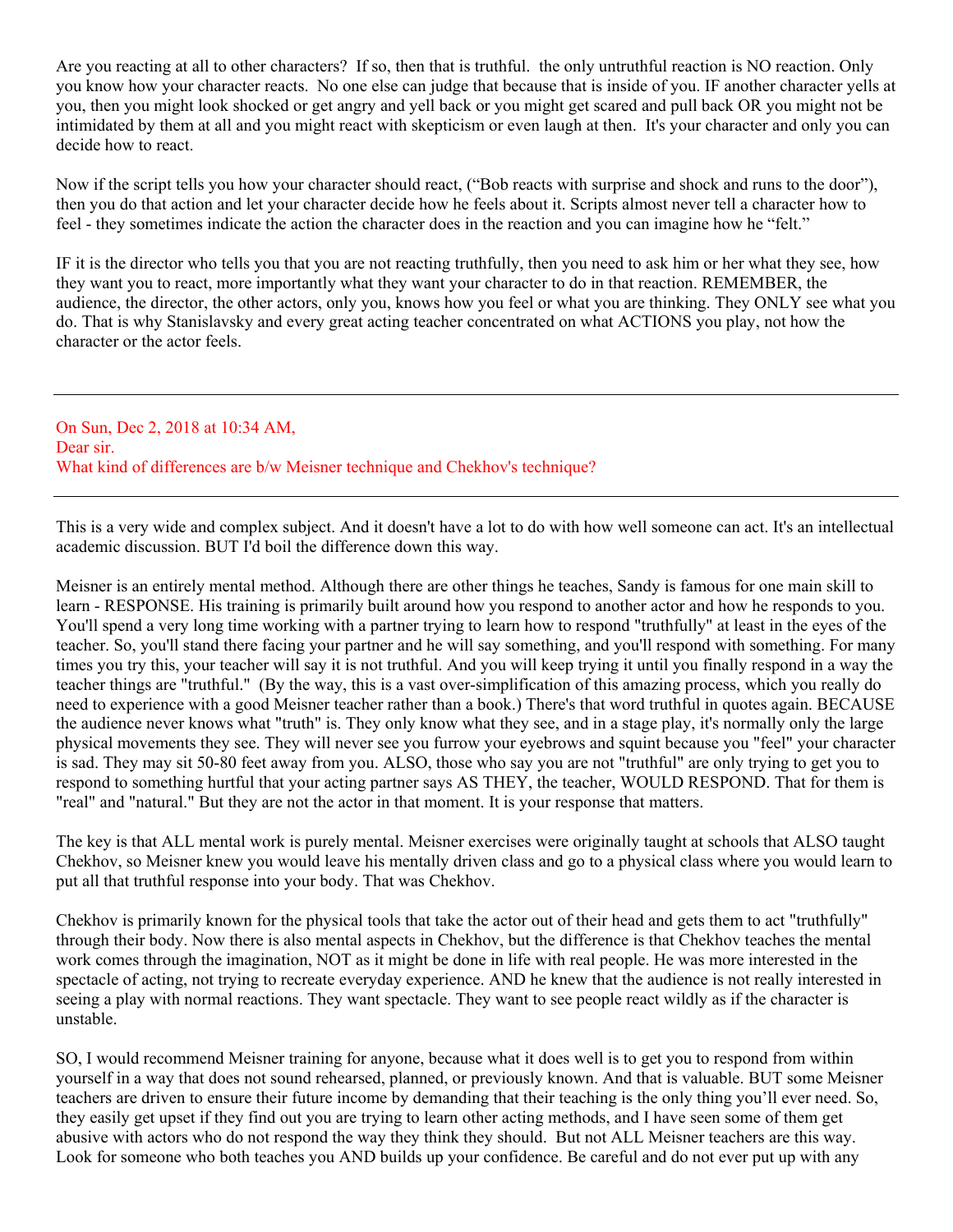Are you reacting at all to other characters? If so, then that is truthful. the only untruthful reaction is NO reaction. Only you know how your character reacts. No one else can judge that because that is inside of you. IF another character yells at you, then you might look shocked or get angry and yell back or you might get scared and pull back OR you might not be intimidated by them at all and you might react with skepticism or even laugh at then. It's your character and only you can decide how to react.

Now if the script tells you how your character should react, ("Bob reacts with surprise and shock and runs to the door"), then you do that action and let your character decide how he feels about it. Scripts almost never tell a character how to feel - they sometimes indicate the action the character does in the reaction and you can imagine how he "felt."

IF it is the director who tells you that you are not reacting truthfully, then you need to ask him or her what they see, how they want you to react, more importantly what they want your character to do in that reaction. REMEMBER, the audience, the director, the other actors, only you, knows how you feel or what you are thinking. They ONLY see what you do. That is why Stanislavsky and every great acting teacher concentrated on what ACTIONS you play, not how the character or the actor feels.

On Sun, Dec 2, 2018 at 10:34 AM, Dear sir. What kind of differences are b/w Meisner technique and Chekhov's technique?

This is a very wide and complex subject. And it doesn't have a lot to do with how well someone can act. It's an intellectual academic discussion. BUT I'd boil the difference down this way.

Meisner is an entirely mental method. Although there are other things he teaches, Sandy is famous for one main skill to learn - RESPONSE. His training is primarily built around how you respond to another actor and how he responds to you. You'll spend a very long time working with a partner trying to learn how to respond "truthfully" at least in the eyes of the teacher. So, you'll stand there facing your partner and he will say something, and you'll respond with something. For many times you try this, your teacher will say it is not truthful. And you will keep trying it until you finally respond in a way the teacher things are "truthful." (By the way, this is a vast over-simplification of this amazing process, which you really do need to experience with a good Meisner teacher rather than a book.) There's that word truthful in quotes again. BECAUSE the audience never knows what "truth" is. They only know what they see, and in a stage play, it's normally only the large physical movements they see. They will never see you furrow your eyebrows and squint because you "feel" your character is sad. They may sit 50-80 feet away from you. ALSO, those who say you are not "truthful" are only trying to get you to respond to something hurtful that your acting partner says AS THEY, the teacher, WOULD RESPOND. That for them is "real" and "natural." But they are not the actor in that moment. It is your response that matters.

The key is that ALL mental work is purely mental. Meisner exercises were originally taught at schools that ALSO taught Chekhov, so Meisner knew you would leave his mentally driven class and go to a physical class where you would learn to put all that truthful response into your body. That was Chekhov.

Chekhov is primarily known for the physical tools that take the actor out of their head and gets them to act "truthfully" through their body. Now there is also mental aspects in Chekhov, but the difference is that Chekhov teaches the mental work comes through the imagination, NOT as it might be done in life with real people. He was more interested in the spectacle of acting, not trying to recreate everyday experience. AND he knew that the audience is not really interested in seeing a play with normal reactions. They want spectacle. They want to see people react wildly as if the character is unstable.

SO, I would recommend Meisner training for anyone, because what it does well is to get you to respond from within yourself in a way that does not sound rehearsed, planned, or previously known. And that is valuable. BUT some Meisner teachers are driven to ensure their future income by demanding that their teaching is the only thing you'll ever need. So, they easily get upset if they find out you are trying to learn other acting methods, and I have seen some of them get abusive with actors who do not respond the way they think they should. But not ALL Meisner teachers are this way. Look for someone who both teaches you AND builds up your confidence. Be careful and do not ever put up with any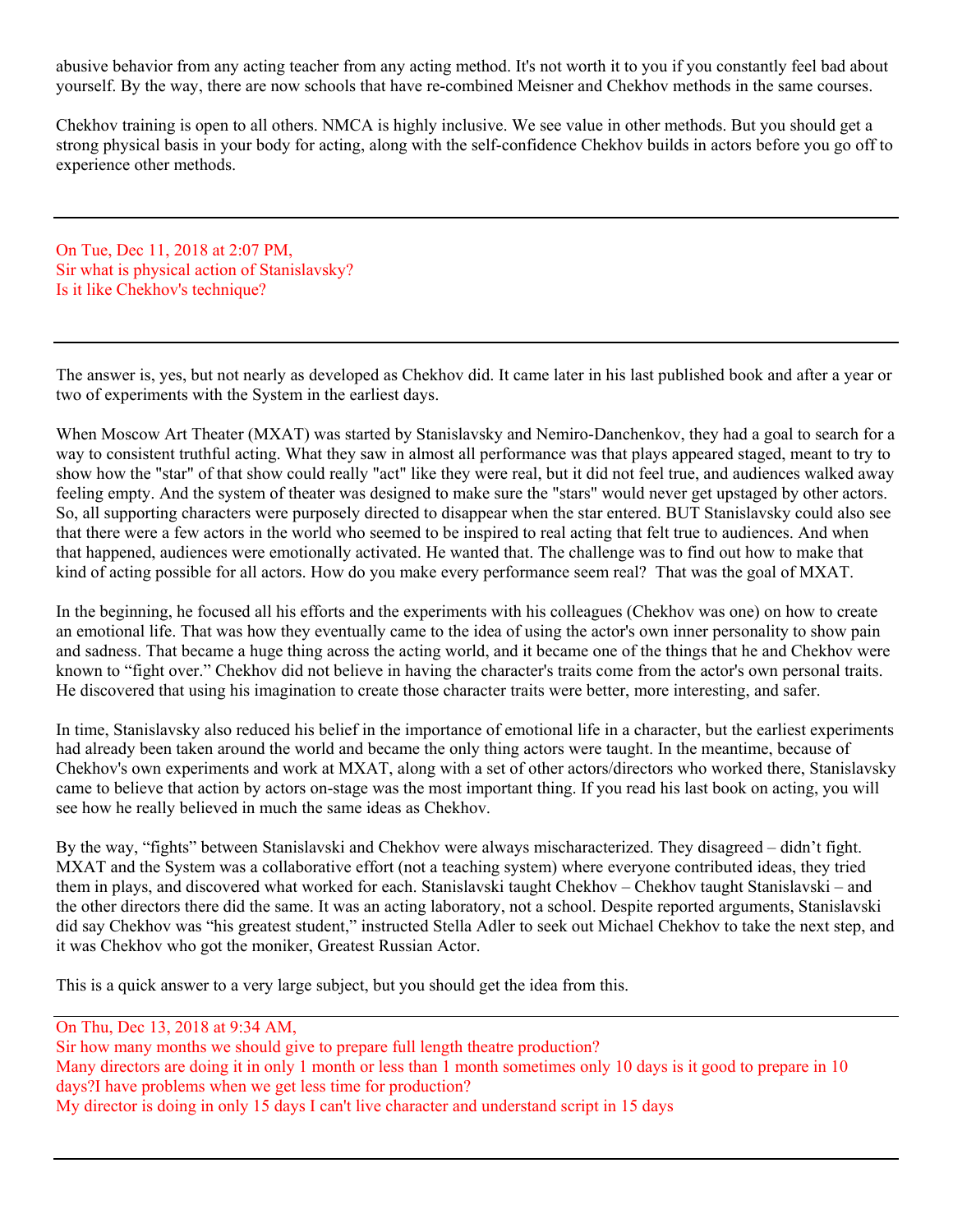abusive behavior from any acting teacher from any acting method. It's not worth it to you if you constantly feel bad about yourself. By the way, there are now schools that have re-combined Meisner and Chekhov methods in the same courses.

Chekhov training is open to all others. NMCA is highly inclusive. We see value in other methods. But you should get a strong physical basis in your body for acting, along with the self-confidence Chekhov builds in actors before you go off to experience other methods.

On Tue, Dec 11, 2018 at 2:07 PM, Sir what is physical action of Stanislavsky? Is it like Chekhov's technique?

The answer is, yes, but not nearly as developed as Chekhov did. It came later in his last published book and after a year or two of experiments with the System in the earliest days.

When Moscow Art Theater (MXAT) was started by Stanislavsky and Nemiro-Danchenkov, they had a goal to search for a way to consistent truthful acting. What they saw in almost all performance was that plays appeared staged, meant to try to show how the "star" of that show could really "act" like they were real, but it did not feel true, and audiences walked away feeling empty. And the system of theater was designed to make sure the "stars" would never get upstaged by other actors. So, all supporting characters were purposely directed to disappear when the star entered. BUT Stanislavsky could also see that there were a few actors in the world who seemed to be inspired to real acting that felt true to audiences. And when that happened, audiences were emotionally activated. He wanted that. The challenge was to find out how to make that kind of acting possible for all actors. How do you make every performance seem real? That was the goal of MXAT.

In the beginning, he focused all his efforts and the experiments with his colleagues (Chekhov was one) on how to create an emotional life. That was how they eventually came to the idea of using the actor's own inner personality to show pain and sadness. That became a huge thing across the acting world, and it became one of the things that he and Chekhov were known to "fight over." Chekhov did not believe in having the character's traits come from the actor's own personal traits. He discovered that using his imagination to create those character traits were better, more interesting, and safer.

In time, Stanislavsky also reduced his belief in the importance of emotional life in a character, but the earliest experiments had already been taken around the world and became the only thing actors were taught. In the meantime, because of Chekhov's own experiments and work at MXAT, along with a set of other actors/directors who worked there, Stanislavsky came to believe that action by actors on-stage was the most important thing. If you read his last book on acting, you will see how he really believed in much the same ideas as Chekhov.

By the way, "fights" between Stanislavski and Chekhov were always mischaracterized. They disagreed – didn't fight. MXAT and the System was a collaborative effort (not a teaching system) where everyone contributed ideas, they tried them in plays, and discovered what worked for each. Stanislavski taught Chekhov – Chekhov taught Stanislavski – and the other directors there did the same. It was an acting laboratory, not a school. Despite reported arguments, Stanislavski did say Chekhov was "his greatest student," instructed Stella Adler to seek out Michael Chekhov to take the next step, and it was Chekhov who got the moniker, Greatest Russian Actor.

This is a quick answer to a very large subject, but you should get the idea from this.

On Thu, Dec 13, 2018 at 9:34 AM,

Sir how many months we should give to prepare full length theatre production? Many directors are doing it in only 1 month or less than 1 month sometimes only 10 days is it good to prepare in 10 days?I have problems when we get less time for production? My director is doing in only 15 days I can't live character and understand script in 15 days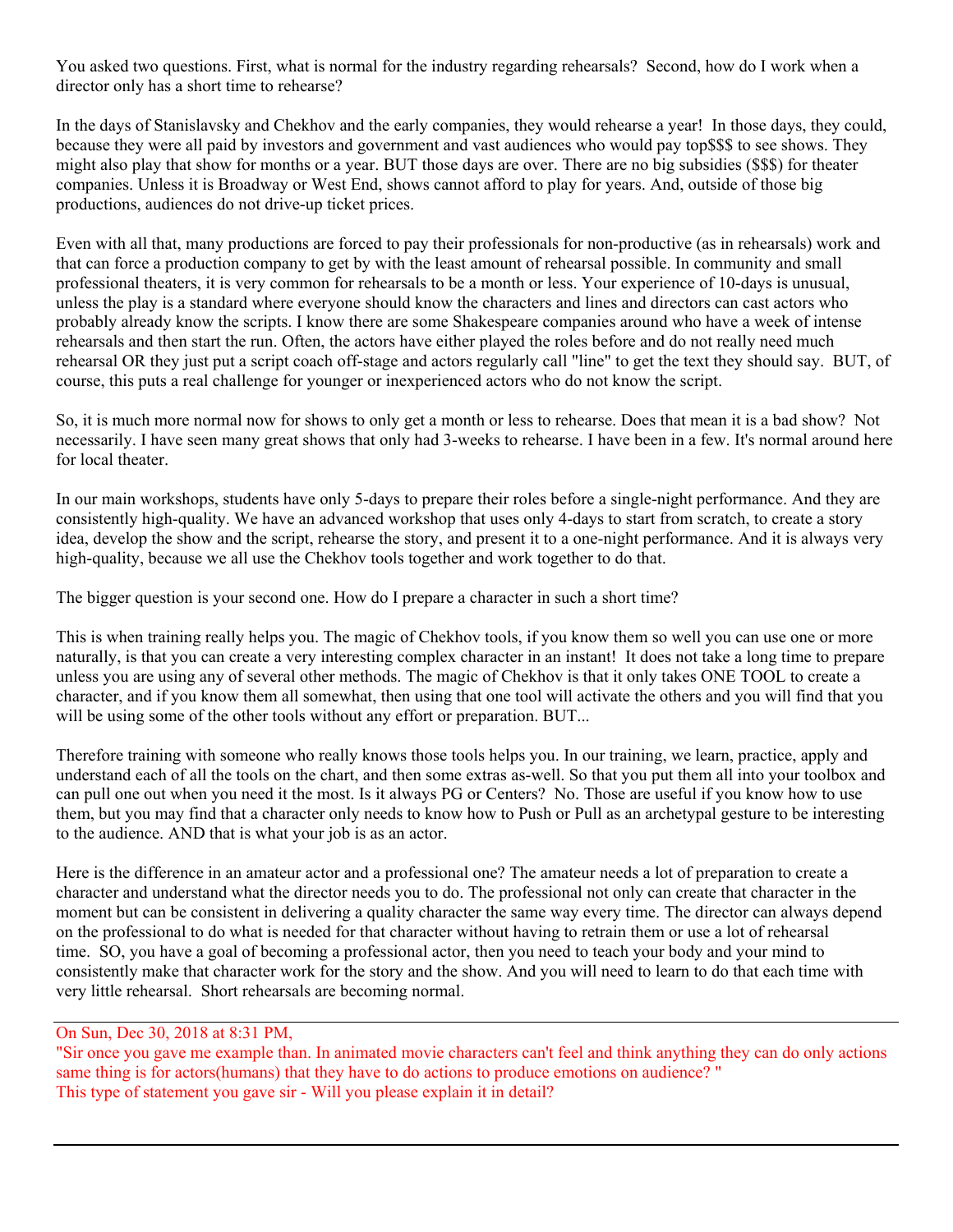You asked two questions. First, what is normal for the industry regarding rehearsals? Second, how do I work when a director only has a short time to rehearse?

In the days of Stanislavsky and Chekhov and the early companies, they would rehearse a year! In those days, they could, because they were all paid by investors and government and vast audiences who would pay top\$\$\$ to see shows. They might also play that show for months or a year. BUT those days are over. There are no big subsidies (\$\$\$) for theater companies. Unless it is Broadway or West End, shows cannot afford to play for years. And, outside of those big productions, audiences do not drive-up ticket prices.

Even with all that, many productions are forced to pay their professionals for non-productive (as in rehearsals) work and that can force a production company to get by with the least amount of rehearsal possible. In community and small professional theaters, it is very common for rehearsals to be a month or less. Your experience of 10-days is unusual, unless the play is a standard where everyone should know the characters and lines and directors can cast actors who probably already know the scripts. I know there are some Shakespeare companies around who have a week of intense rehearsals and then start the run. Often, the actors have either played the roles before and do not really need much rehearsal OR they just put a script coach off-stage and actors regularly call "line" to get the text they should say. BUT, of course, this puts a real challenge for younger or inexperienced actors who do not know the script.

So, it is much more normal now for shows to only get a month or less to rehearse. Does that mean it is a bad show? Not necessarily. I have seen many great shows that only had 3-weeks to rehearse. I have been in a few. It's normal around here for local theater.

In our main workshops, students have only 5-days to prepare their roles before a single-night performance. And they are consistently high-quality. We have an advanced workshop that uses only 4-days to start from scratch, to create a story idea, develop the show and the script, rehearse the story, and present it to a one-night performance. And it is always very high-quality, because we all use the Chekhov tools together and work together to do that.

The bigger question is your second one. How do I prepare a character in such a short time?

This is when training really helps you. The magic of Chekhov tools, if you know them so well you can use one or more naturally, is that you can create a very interesting complex character in an instant! It does not take a long time to prepare unless you are using any of several other methods. The magic of Chekhov is that it only takes ONE TOOL to create a character, and if you know them all somewhat, then using that one tool will activate the others and you will find that you will be using some of the other tools without any effort or preparation. BUT...

Therefore training with someone who really knows those tools helps you. In our training, we learn, practice, apply and understand each of all the tools on the chart, and then some extras as-well. So that you put them all into your toolbox and can pull one out when you need it the most. Is it always PG or Centers? No. Those are useful if you know how to use them, but you may find that a character only needs to know how to Push or Pull as an archetypal gesture to be interesting to the audience. AND that is what your job is as an actor.

Here is the difference in an amateur actor and a professional one? The amateur needs a lot of preparation to create a character and understand what the director needs you to do. The professional not only can create that character in the moment but can be consistent in delivering a quality character the same way every time. The director can always depend on the professional to do what is needed for that character without having to retrain them or use a lot of rehearsal time. SO, you have a goal of becoming a professional actor, then you need to teach your body and your mind to consistently make that character work for the story and the show. And you will need to learn to do that each time with very little rehearsal. Short rehearsals are becoming normal.

## On Sun, Dec 30, 2018 at 8:31 PM,

"Sir once you gave me example than. In animated movie characters can't feel and think anything they can do only actions same thing is for actors(humans) that they have to do actions to produce emotions on audience? " This type of statement you gave sir - Will you please explain it in detail?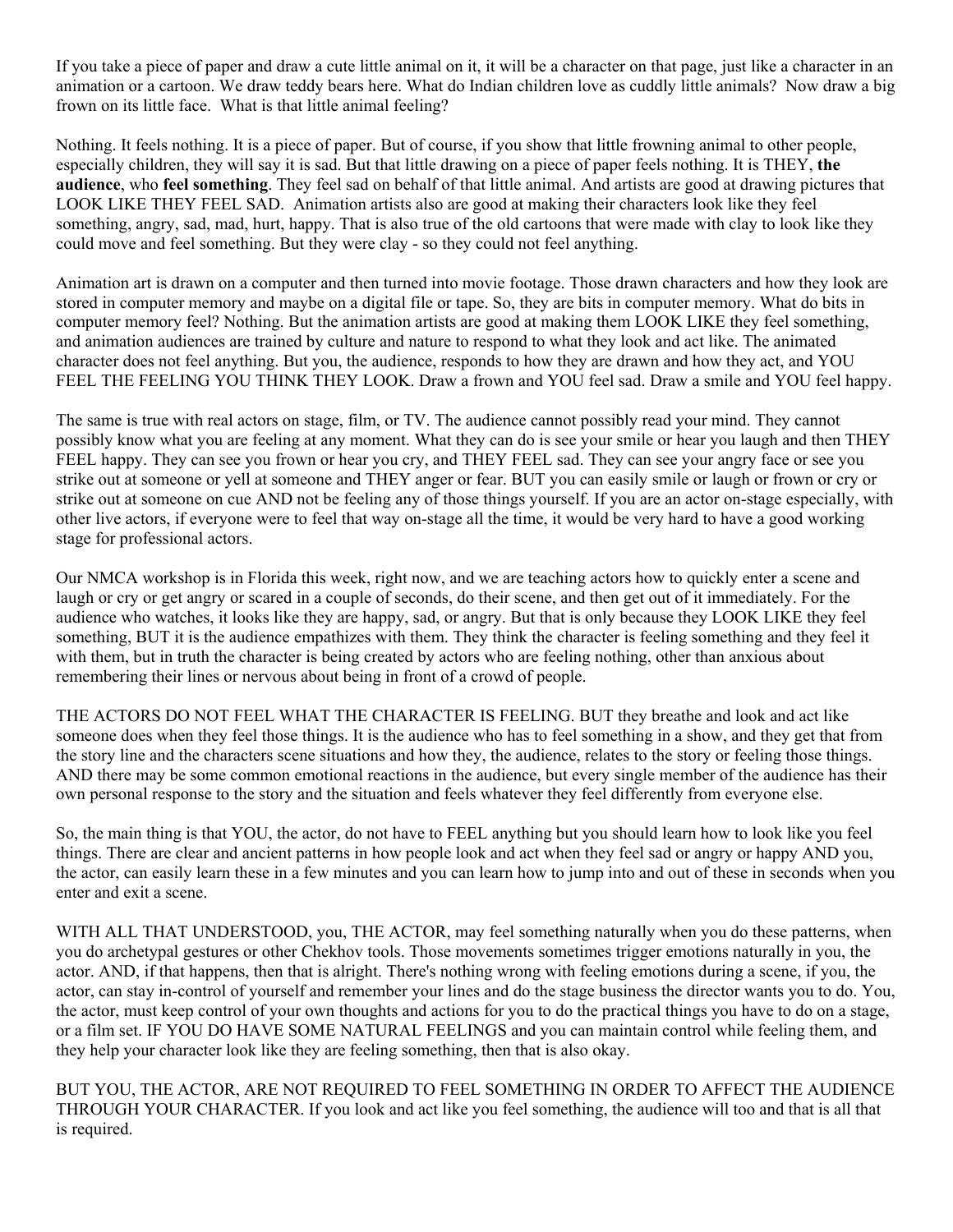If you take a piece of paper and draw a cute little animal on it, it will be a character on that page, just like a character in an animation or a cartoon. We draw teddy bears here. What do Indian children love as cuddly little animals? Now draw a big frown on its little face. What is that little animal feeling?

Nothing. It feels nothing. It is a piece of paper. But of course, if you show that little frowning animal to other people, especially children, they will say it is sad. But that little drawing on a piece of paper feels nothing. It is THEY, **the audience**, who **feel something**. They feel sad on behalf of that little animal. And artists are good at drawing pictures that LOOK LIKE THEY FEEL SAD. Animation artists also are good at making their characters look like they feel something, angry, sad, mad, hurt, happy. That is also true of the old cartoons that were made with clay to look like they could move and feel something. But they were clay - so they could not feel anything.

Animation art is drawn on a computer and then turned into movie footage. Those drawn characters and how they look are stored in computer memory and maybe on a digital file or tape. So, they are bits in computer memory. What do bits in computer memory feel? Nothing. But the animation artists are good at making them LOOK LIKE they feel something, and animation audiences are trained by culture and nature to respond to what they look and act like. The animated character does not feel anything. But you, the audience, responds to how they are drawn and how they act, and YOU FEEL THE FEELING YOU THINK THEY LOOK. Draw a frown and YOU feel sad. Draw a smile and YOU feel happy.

The same is true with real actors on stage, film, or TV. The audience cannot possibly read your mind. They cannot possibly know what you are feeling at any moment. What they can do is see your smile or hear you laugh and then THEY FEEL happy. They can see you frown or hear you cry, and THEY FEEL sad. They can see your angry face or see you strike out at someone or yell at someone and THEY anger or fear. BUT you can easily smile or laugh or frown or cry or strike out at someone on cue AND not be feeling any of those things yourself. If you are an actor on-stage especially, with other live actors, if everyone were to feel that way on-stage all the time, it would be very hard to have a good working stage for professional actors.

Our NMCA workshop is in Florida this week, right now, and we are teaching actors how to quickly enter a scene and laugh or cry or get angry or scared in a couple of seconds, do their scene, and then get out of it immediately. For the audience who watches, it looks like they are happy, sad, or angry. But that is only because they LOOK LIKE they feel something, BUT it is the audience empathizes with them. They think the character is feeling something and they feel it with them, but in truth the character is being created by actors who are feeling nothing, other than anxious about remembering their lines or nervous about being in front of a crowd of people.

THE ACTORS DO NOT FEEL WHAT THE CHARACTER IS FEELING. BUT they breathe and look and act like someone does when they feel those things. It is the audience who has to feel something in a show, and they get that from the story line and the characters scene situations and how they, the audience, relates to the story or feeling those things. AND there may be some common emotional reactions in the audience, but every single member of the audience has their own personal response to the story and the situation and feels whatever they feel differently from everyone else.

So, the main thing is that YOU, the actor, do not have to FEEL anything but you should learn how to look like you feel things. There are clear and ancient patterns in how people look and act when they feel sad or angry or happy AND you, the actor, can easily learn these in a few minutes and you can learn how to jump into and out of these in seconds when you enter and exit a scene.

WITH ALL THAT UNDERSTOOD, you, THE ACTOR, may feel something naturally when you do these patterns, when you do archetypal gestures or other Chekhov tools. Those movements sometimes trigger emotions naturally in you, the actor. AND, if that happens, then that is alright. There's nothing wrong with feeling emotions during a scene, if you, the actor, can stay in-control of yourself and remember your lines and do the stage business the director wants you to do. You, the actor, must keep control of your own thoughts and actions for you to do the practical things you have to do on a stage, or a film set. IF YOU DO HAVE SOME NATURAL FEELINGS and you can maintain control while feeling them, and they help your character look like they are feeling something, then that is also okay.

BUT YOU, THE ACTOR, ARE NOT REQUIRED TO FEEL SOMETHING IN ORDER TO AFFECT THE AUDIENCE THROUGH YOUR CHARACTER. If you look and act like you feel something, the audience will too and that is all that is required.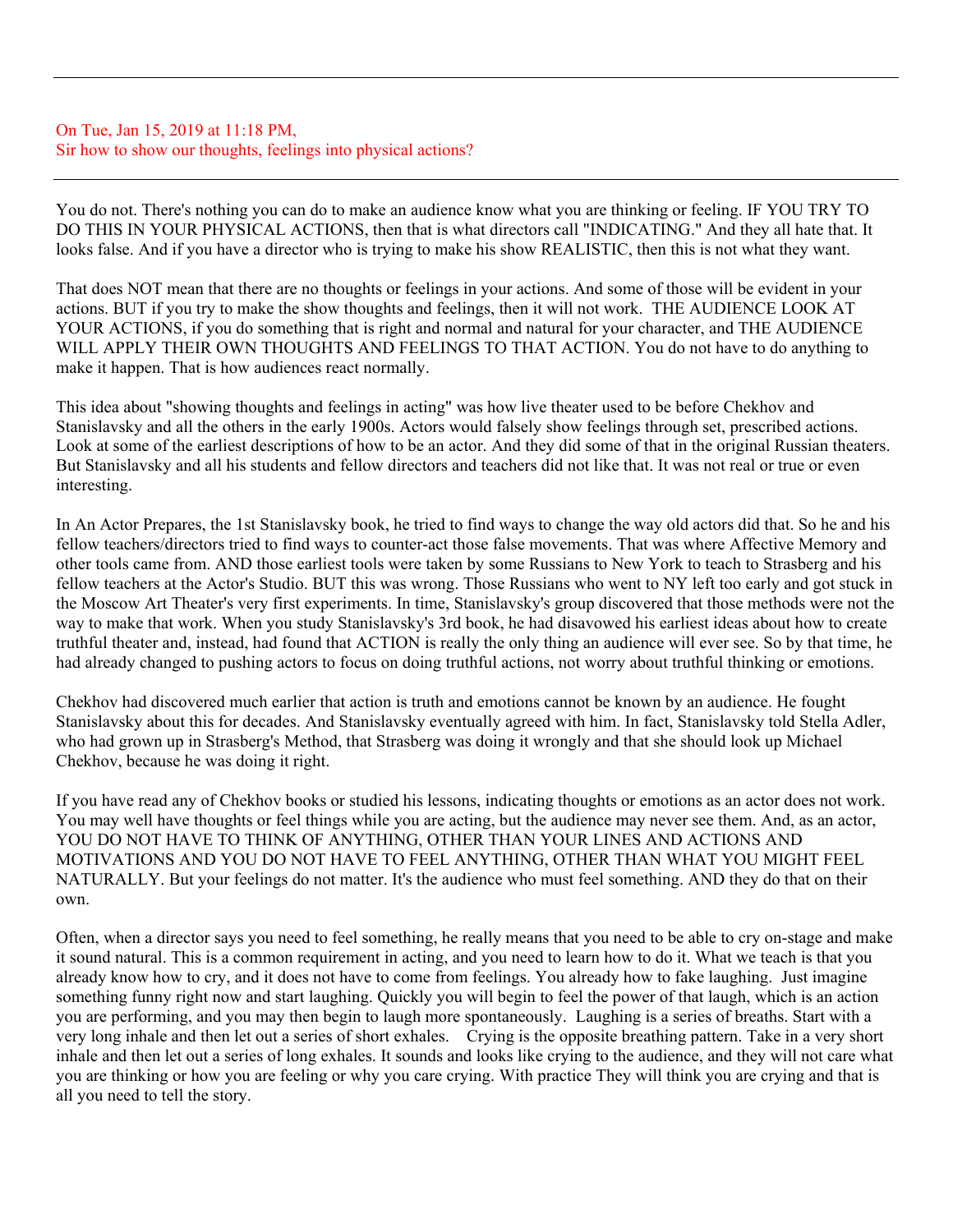#### On Tue, Jan 15, 2019 at 11:18 PM, Sir how to show our thoughts, feelings into physical actions?

You do not. There's nothing you can do to make an audience know what you are thinking or feeling. IF YOU TRY TO DO THIS IN YOUR PHYSICAL ACTIONS, then that is what directors call "INDICATING." And they all hate that. It looks false. And if you have a director who is trying to make his show REALISTIC, then this is not what they want.

That does NOT mean that there are no thoughts or feelings in your actions. And some of those will be evident in your actions. BUT if you try to make the show thoughts and feelings, then it will not work. THE AUDIENCE LOOK AT YOUR ACTIONS, if you do something that is right and normal and natural for your character, and THE AUDIENCE WILL APPLY THEIR OWN THOUGHTS AND FEELINGS TO THAT ACTION. You do not have to do anything to make it happen. That is how audiences react normally.

This idea about "showing thoughts and feelings in acting" was how live theater used to be before Chekhov and Stanislavsky and all the others in the early 1900s. Actors would falsely show feelings through set, prescribed actions. Look at some of the earliest descriptions of how to be an actor. And they did some of that in the original Russian theaters. But Stanislavsky and all his students and fellow directors and teachers did not like that. It was not real or true or even interesting.

In An Actor Prepares, the 1st Stanislavsky book, he tried to find ways to change the way old actors did that. So he and his fellow teachers/directors tried to find ways to counter-act those false movements. That was where Affective Memory and other tools came from. AND those earliest tools were taken by some Russians to New York to teach to Strasberg and his fellow teachers at the Actor's Studio. BUT this was wrong. Those Russians who went to NY left too early and got stuck in the Moscow Art Theater's very first experiments. In time, Stanislavsky's group discovered that those methods were not the way to make that work. When you study Stanislavsky's 3rd book, he had disavowed his earliest ideas about how to create truthful theater and, instead, had found that ACTION is really the only thing an audience will ever see. So by that time, he had already changed to pushing actors to focus on doing truthful actions, not worry about truthful thinking or emotions.

Chekhov had discovered much earlier that action is truth and emotions cannot be known by an audience. He fought Stanislavsky about this for decades. And Stanislavsky eventually agreed with him. In fact, Stanislavsky told Stella Adler, who had grown up in Strasberg's Method, that Strasberg was doing it wrongly and that she should look up Michael Chekhov, because he was doing it right.

If you have read any of Chekhov books or studied his lessons, indicating thoughts or emotions as an actor does not work. You may well have thoughts or feel things while you are acting, but the audience may never see them. And, as an actor, YOU DO NOT HAVE TO THINK OF ANYTHING, OTHER THAN YOUR LINES AND ACTIONS AND MOTIVATIONS AND YOU DO NOT HAVE TO FEEL ANYTHING, OTHER THAN WHAT YOU MIGHT FEEL NATURALLY. But your feelings do not matter. It's the audience who must feel something. AND they do that on their own.

Often, when a director says you need to feel something, he really means that you need to be able to cry on-stage and make it sound natural. This is a common requirement in acting, and you need to learn how to do it. What we teach is that you already know how to cry, and it does not have to come from feelings. You already how to fake laughing. Just imagine something funny right now and start laughing. Quickly you will begin to feel the power of that laugh, which is an action you are performing, and you may then begin to laugh more spontaneously. Laughing is a series of breaths. Start with a very long inhale and then let out a series of short exhales. Crying is the opposite breathing pattern. Take in a very short inhale and then let out a series of long exhales. It sounds and looks like crying to the audience, and they will not care what you are thinking or how you are feeling or why you care crying. With practice They will think you are crying and that is all you need to tell the story.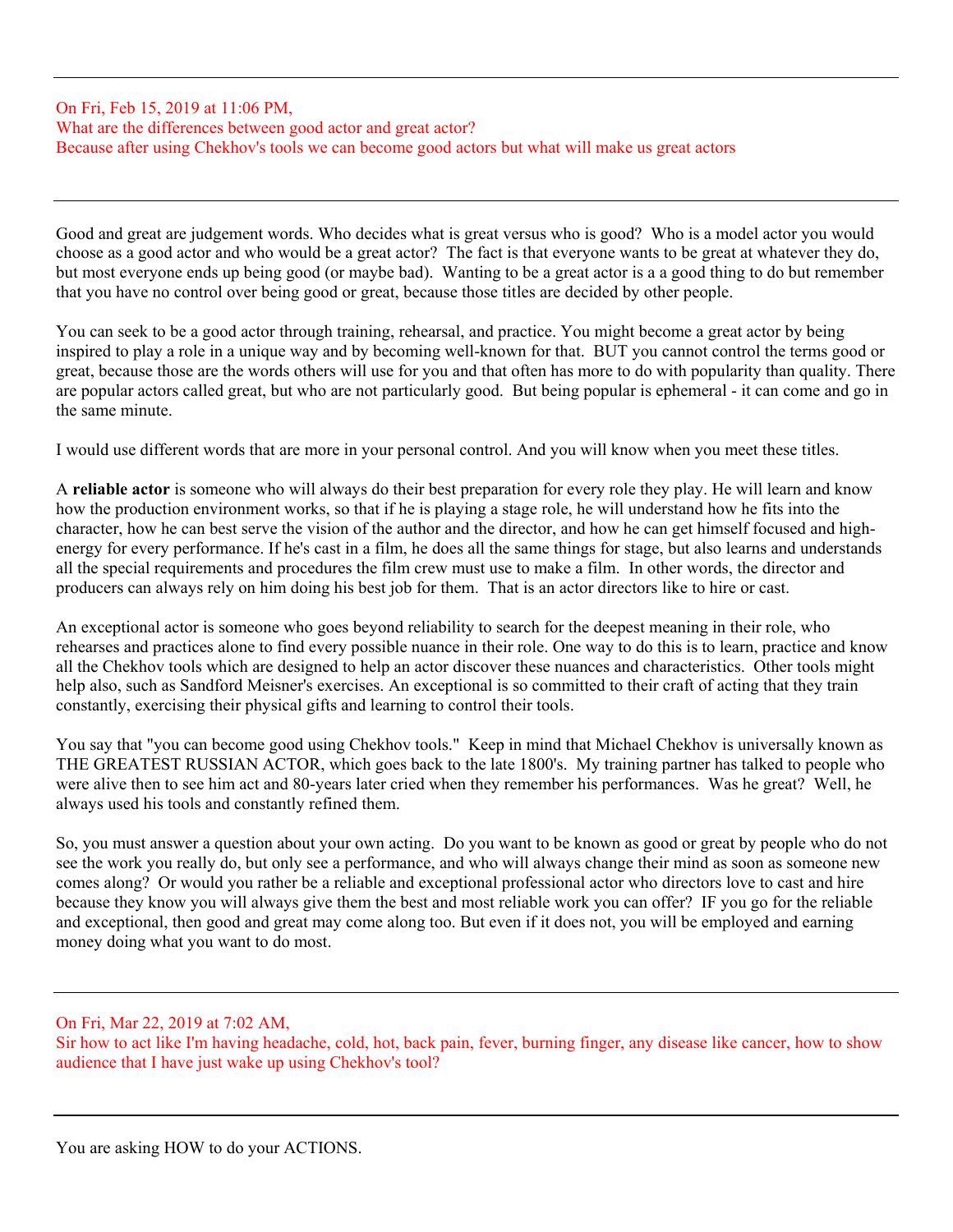#### On Fri, Feb 15, 2019 at 11:06 PM, What are the differences between good actor and great actor? Because after using Chekhov's tools we can become good actors but what will make us great actors

Good and great are judgement words. Who decides what is great versus who is good? Who is a model actor you would choose as a good actor and who would be a great actor? The fact is that everyone wants to be great at whatever they do, but most everyone ends up being good (or maybe bad). Wanting to be a great actor is a a good thing to do but remember that you have no control over being good or great, because those titles are decided by other people.

You can seek to be a good actor through training, rehearsal, and practice. You might become a great actor by being inspired to play a role in a unique way and by becoming well-known for that. BUT you cannot control the terms good or great, because those are the words others will use for you and that often has more to do with popularity than quality. There are popular actors called great, but who are not particularly good. But being popular is ephemeral - it can come and go in the same minute.

I would use different words that are more in your personal control. And you will know when you meet these titles.

A **reliable actor** is someone who will always do their best preparation for every role they play. He will learn and know how the production environment works, so that if he is playing a stage role, he will understand how he fits into the character, how he can best serve the vision of the author and the director, and how he can get himself focused and highenergy for every performance. If he's cast in a film, he does all the same things for stage, but also learns and understands all the special requirements and procedures the film crew must use to make a film. In other words, the director and producers can always rely on him doing his best job for them. That is an actor directors like to hire or cast.

An exceptional actor is someone who goes beyond reliability to search for the deepest meaning in their role, who rehearses and practices alone to find every possible nuance in their role. One way to do this is to learn, practice and know all the Chekhov tools which are designed to help an actor discover these nuances and characteristics. Other tools might help also, such as Sandford Meisner's exercises. An exceptional is so committed to their craft of acting that they train constantly, exercising their physical gifts and learning to control their tools.

You say that "you can become good using Chekhov tools." Keep in mind that Michael Chekhov is universally known as THE GREATEST RUSSIAN ACTOR, which goes back to the late 1800's. My training partner has talked to people who were alive then to see him act and 80-years later cried when they remember his performances. Was he great? Well, he always used his tools and constantly refined them.

So, you must answer a question about your own acting. Do you want to be known as good or great by people who do not see the work you really do, but only see a performance, and who will always change their mind as soon as someone new comes along? Or would you rather be a reliable and exceptional professional actor who directors love to cast and hire because they know you will always give them the best and most reliable work you can offer? IF you go for the reliable and exceptional, then good and great may come along too. But even if it does not, you will be employed and earning money doing what you want to do most.

## On Fri, Mar 22, 2019 at 7:02 AM,

Sir how to act like I'm having headache, cold, hot, back pain, fever, burning finger, any disease like cancer, how to show audience that I have just wake up using Chekhov's tool?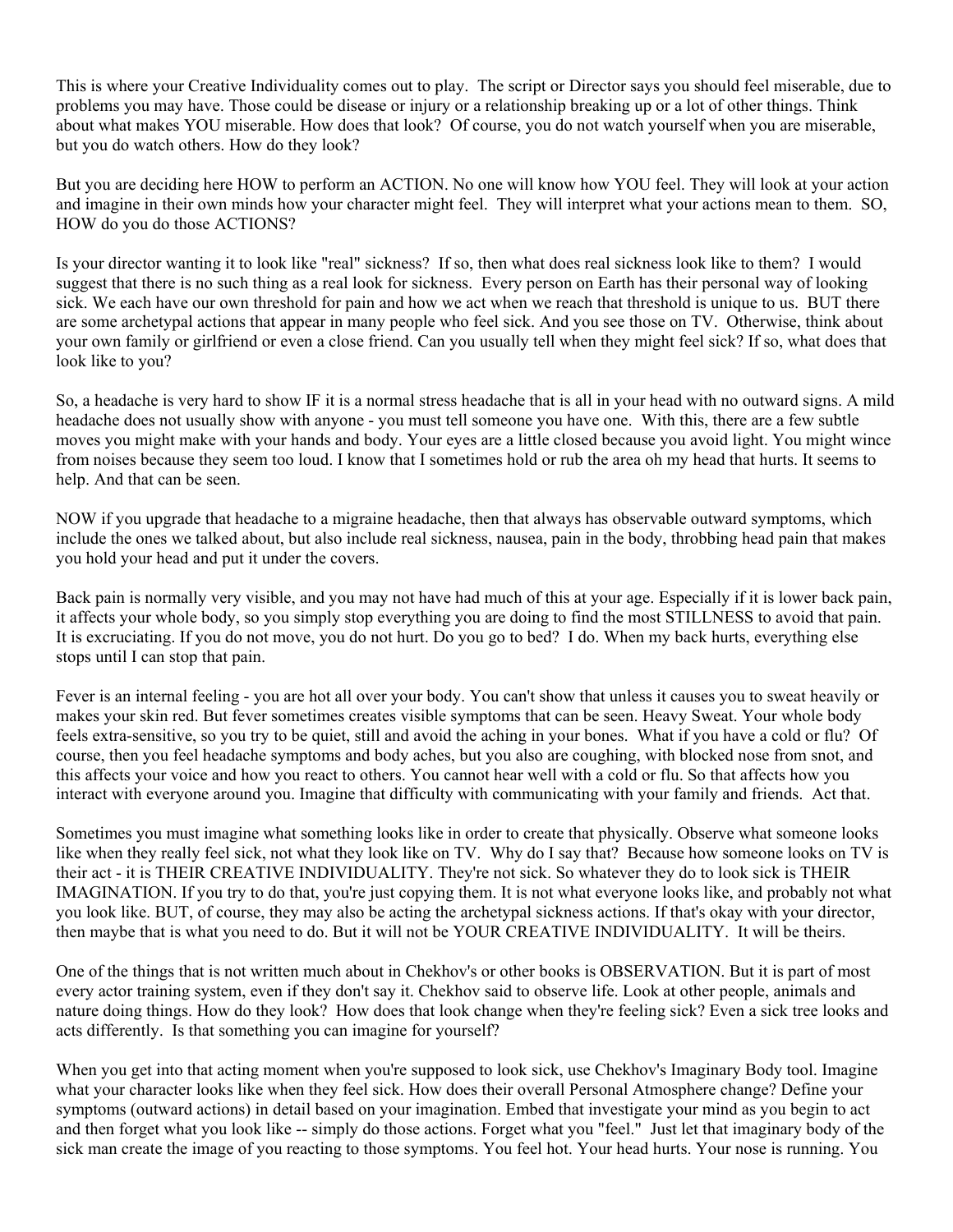This is where your Creative Individuality comes out to play. The script or Director says you should feel miserable, due to problems you may have. Those could be disease or injury or a relationship breaking up or a lot of other things. Think about what makes YOU miserable. How does that look? Of course, you do not watch yourself when you are miserable, but you do watch others. How do they look?

But you are deciding here HOW to perform an ACTION. No one will know how YOU feel. They will look at your action and imagine in their own minds how your character might feel. They will interpret what your actions mean to them. SO, HOW do you do those ACTIONS?

Is your director wanting it to look like "real" sickness? If so, then what does real sickness look like to them? I would suggest that there is no such thing as a real look for sickness. Every person on Earth has their personal way of looking sick. We each have our own threshold for pain and how we act when we reach that threshold is unique to us. BUT there are some archetypal actions that appear in many people who feel sick. And you see those on TV. Otherwise, think about your own family or girlfriend or even a close friend. Can you usually tell when they might feel sick? If so, what does that look like to you?

So, a headache is very hard to show IF it is a normal stress headache that is all in your head with no outward signs. A mild headache does not usually show with anyone - you must tell someone you have one. With this, there are a few subtle moves you might make with your hands and body. Your eyes are a little closed because you avoid light. You might wince from noises because they seem too loud. I know that I sometimes hold or rub the area oh my head that hurts. It seems to help. And that can be seen.

NOW if you upgrade that headache to a migraine headache, then that always has observable outward symptoms, which include the ones we talked about, but also include real sickness, nausea, pain in the body, throbbing head pain that makes you hold your head and put it under the covers.

Back pain is normally very visible, and you may not have had much of this at your age. Especially if it is lower back pain, it affects your whole body, so you simply stop everything you are doing to find the most STILLNESS to avoid that pain. It is excruciating. If you do not move, you do not hurt. Do you go to bed? I do. When my back hurts, everything else stops until I can stop that pain.

Fever is an internal feeling - you are hot all over your body. You can't show that unless it causes you to sweat heavily or makes your skin red. But fever sometimes creates visible symptoms that can be seen. Heavy Sweat. Your whole body feels extra-sensitive, so you try to be quiet, still and avoid the aching in your bones. What if you have a cold or flu? Of course, then you feel headache symptoms and body aches, but you also are coughing, with blocked nose from snot, and this affects your voice and how you react to others. You cannot hear well with a cold or flu. So that affects how you interact with everyone around you. Imagine that difficulty with communicating with your family and friends. Act that.

Sometimes you must imagine what something looks like in order to create that physically. Observe what someone looks like when they really feel sick, not what they look like on TV. Why do I say that? Because how someone looks on TV is their act - it is THEIR CREATIVE INDIVIDUALITY. They're not sick. So whatever they do to look sick is THEIR IMAGINATION. If you try to do that, you're just copying them. It is not what everyone looks like, and probably not what you look like. BUT, of course, they may also be acting the archetypal sickness actions. If that's okay with your director, then maybe that is what you need to do. But it will not be YOUR CREATIVE INDIVIDUALITY. It will be theirs.

One of the things that is not written much about in Chekhov's or other books is OBSERVATION. But it is part of most every actor training system, even if they don't say it. Chekhov said to observe life. Look at other people, animals and nature doing things. How do they look? How does that look change when they're feeling sick? Even a sick tree looks and acts differently. Is that something you can imagine for yourself?

When you get into that acting moment when you're supposed to look sick, use Chekhov's Imaginary Body tool. Imagine what your character looks like when they feel sick. How does their overall Personal Atmosphere change? Define your symptoms (outward actions) in detail based on your imagination. Embed that investigate your mind as you begin to act and then forget what you look like -- simply do those actions. Forget what you "feel." Just let that imaginary body of the sick man create the image of you reacting to those symptoms. You feel hot. Your head hurts. Your nose is running. You